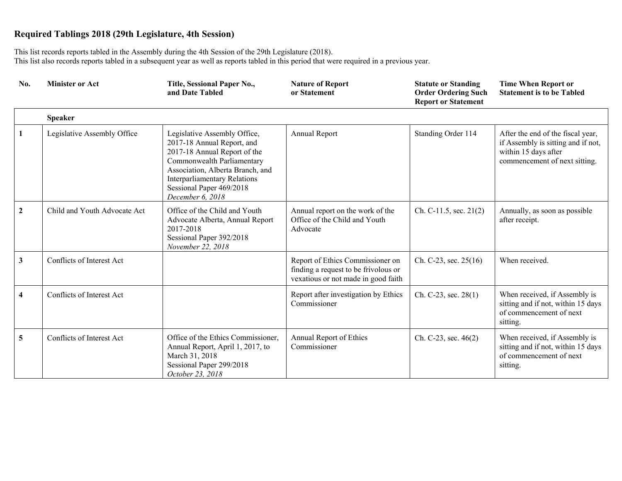This list records reports tabled in the Assembly during the 4th Session of the 29th Legislature (2018). This list also records reports tabled in a subsequent year as well as reports tabled in this period that were required in a previous year.

| No.                     | <b>Minister or Act</b>       | Title, Sessional Paper No.,<br>and Date Tabled                                                                                                                                                                                                      | <b>Nature of Report</b><br>or Statement                                                                         | <b>Statute or Standing</b><br><b>Order Ordering Such</b><br><b>Report or Statement</b> | <b>Time When Report or</b><br><b>Statement is to be Tabled</b>                                                                   |
|-------------------------|------------------------------|-----------------------------------------------------------------------------------------------------------------------------------------------------------------------------------------------------------------------------------------------------|-----------------------------------------------------------------------------------------------------------------|----------------------------------------------------------------------------------------|----------------------------------------------------------------------------------------------------------------------------------|
|                         | <b>Speaker</b>               |                                                                                                                                                                                                                                                     |                                                                                                                 |                                                                                        |                                                                                                                                  |
| 1                       | Legislative Assembly Office  | Legislative Assembly Office,<br>2017-18 Annual Report, and<br>2017-18 Annual Report of the<br>Commonwealth Parliamentary<br>Association, Alberta Branch, and<br><b>Interparliamentary Relations</b><br>Sessional Paper 469/2018<br>December 6, 2018 | Annual Report                                                                                                   | Standing Order 114                                                                     | After the end of the fiscal year,<br>if Assembly is sitting and if not,<br>within 15 days after<br>commencement of next sitting. |
| $\mathbf{2}$            | Child and Youth Advocate Act | Office of the Child and Youth<br>Advocate Alberta, Annual Report<br>2017-2018<br>Sessional Paper 392/2018<br>November 22, 2018                                                                                                                      | Annual report on the work of the<br>Office of the Child and Youth<br>Advocate                                   | Ch. C-11.5, sec. $21(2)$                                                               | Annually, as soon as possible<br>after receipt.                                                                                  |
| $\mathbf{3}$            | Conflicts of Interest Act    |                                                                                                                                                                                                                                                     | Report of Ethics Commissioner on<br>finding a request to be frivolous or<br>vexatious or not made in good faith | Ch. C-23, sec. $25(16)$                                                                | When received.                                                                                                                   |
| $\overline{\mathbf{4}}$ | Conflicts of Interest Act    |                                                                                                                                                                                                                                                     | Report after investigation by Ethics<br>Commissioner                                                            | Ch. C-23, sec. 28(1)                                                                   | When received, if Assembly is<br>sitting and if not, within 15 days<br>of commencement of next<br>sitting.                       |
| $5\overline{)}$         | Conflicts of Interest Act    | Office of the Ethics Commissioner,<br>Annual Report, April 1, 2017, to<br>March 31, 2018<br>Sessional Paper 299/2018<br>October 23, 2018                                                                                                            | Annual Report of Ethics<br>Commissioner                                                                         | Ch. C-23, sec. 46(2)                                                                   | When received, if Assembly is<br>sitting and if not, within 15 days<br>of commencement of next<br>sitting.                       |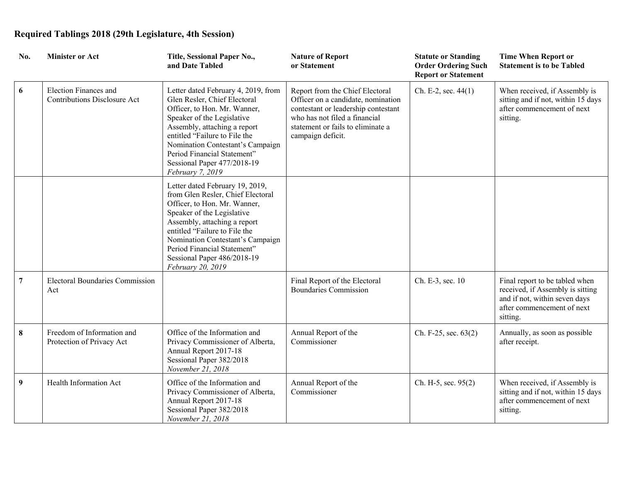| No. | <b>Minister or Act</b>                                       | Title, Sessional Paper No.,<br>and Date Tabled                                                                                                                                                                                                                                                                             | <b>Nature of Report</b><br>or Statement                                                                                                                                                                 | <b>Statute or Standing</b><br><b>Order Ordering Such</b><br><b>Report or Statement</b> | <b>Time When Report or</b><br><b>Statement is to be Tabled</b>                                                                                |
|-----|--------------------------------------------------------------|----------------------------------------------------------------------------------------------------------------------------------------------------------------------------------------------------------------------------------------------------------------------------------------------------------------------------|---------------------------------------------------------------------------------------------------------------------------------------------------------------------------------------------------------|----------------------------------------------------------------------------------------|-----------------------------------------------------------------------------------------------------------------------------------------------|
| 6   | Election Finances and<br><b>Contributions Disclosure Act</b> | Letter dated February 4, 2019, from<br>Glen Resler, Chief Electoral<br>Officer, to Hon. Mr. Wanner,<br>Speaker of the Legislative<br>Assembly, attaching a report<br>entitled "Failure to File the<br>Nomination Contestant's Campaign<br>Period Financial Statement"<br>Sessional Paper 477/2018-19<br>February 7, 2019   | Report from the Chief Electoral<br>Officer on a candidate, nomination<br>contestant or leadership contestant<br>who has not filed a financial<br>statement or fails to eliminate a<br>campaign deficit. | Ch. E-2, sec. $44(1)$                                                                  | When received, if Assembly is<br>sitting and if not, within 15 days<br>after commencement of next<br>sitting.                                 |
|     |                                                              | Letter dated February 19, 2019,<br>from Glen Resler, Chief Electoral<br>Officer, to Hon. Mr. Wanner,<br>Speaker of the Legislative<br>Assembly, attaching a report<br>entitled "Failure to File the<br>Nomination Contestant's Campaign<br>Period Financial Statement"<br>Sessional Paper 486/2018-19<br>February 20, 2019 |                                                                                                                                                                                                         |                                                                                        |                                                                                                                                               |
| 7   | <b>Electoral Boundaries Commission</b><br>Act                |                                                                                                                                                                                                                                                                                                                            | Final Report of the Electoral<br><b>Boundaries Commission</b>                                                                                                                                           | Ch. E-3, sec. 10                                                                       | Final report to be tabled when<br>received, if Assembly is sitting<br>and if not, within seven days<br>after commencement of next<br>sitting. |
| 8   | Freedom of Information and<br>Protection of Privacy Act      | Office of the Information and<br>Privacy Commissioner of Alberta,<br>Annual Report 2017-18<br>Sessional Paper 382/2018<br>November 21, 2018                                                                                                                                                                                | Annual Report of the<br>Commissioner                                                                                                                                                                    | Ch. F-25, sec. 63(2)                                                                   | Annually, as soon as possible<br>after receipt.                                                                                               |
| 9   | Health Information Act                                       | Office of the Information and<br>Privacy Commissioner of Alberta,<br>Annual Report 2017-18<br>Sessional Paper 382/2018<br>November 21, 2018                                                                                                                                                                                | Annual Report of the<br>Commissioner                                                                                                                                                                    | Ch. H-5, sec. 95(2)                                                                    | When received, if Assembly is<br>sitting and if not, within 15 days<br>after commencement of next<br>sitting.                                 |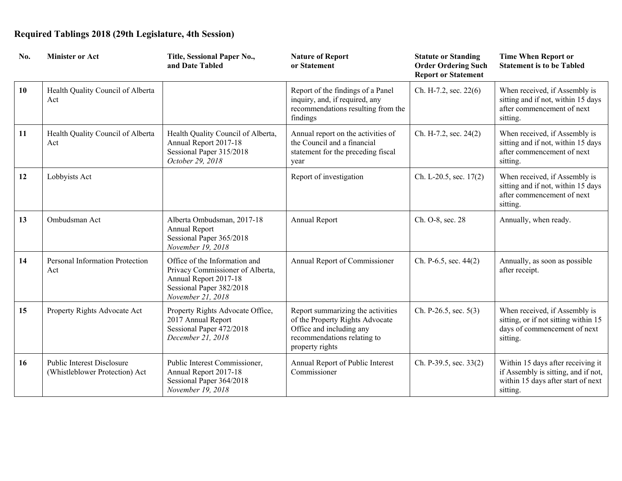| No. | <b>Minister or Act</b>                                       | Title, Sessional Paper No.,<br>and Date Tabled                                                                                              | <b>Nature of Report</b><br>or Statement                                                                                                            | <b>Statute or Standing</b><br><b>Order Ordering Such</b><br><b>Report or Statement</b> | <b>Time When Report or</b><br><b>Statement is to be Tabled</b>                                                             |
|-----|--------------------------------------------------------------|---------------------------------------------------------------------------------------------------------------------------------------------|----------------------------------------------------------------------------------------------------------------------------------------------------|----------------------------------------------------------------------------------------|----------------------------------------------------------------------------------------------------------------------------|
| 10  | Health Quality Council of Alberta<br>Act                     |                                                                                                                                             | Report of the findings of a Panel<br>inquiry, and, if required, any<br>recommendations resulting from the<br>findings                              | Ch. H-7.2, sec. 22(6)                                                                  | When received, if Assembly is<br>sitting and if not, within 15 days<br>after commencement of next<br>sitting.              |
| 11  | Health Quality Council of Alberta<br>Act                     | Health Quality Council of Alberta,<br>Annual Report 2017-18<br>Sessional Paper 315/2018<br>October 29, 2018                                 | Annual report on the activities of<br>the Council and a financial<br>statement for the preceding fiscal<br>year                                    | Ch. H-7.2, sec. 24(2)                                                                  | When received, if Assembly is<br>sitting and if not, within 15 days<br>after commencement of next<br>sitting.              |
| 12  | Lobbyists Act                                                |                                                                                                                                             | Report of investigation                                                                                                                            | Ch. L-20.5, sec. 17(2)                                                                 | When received, if Assembly is<br>sitting and if not, within 15 days<br>after commencement of next<br>sitting.              |
| 13  | Ombudsman Act                                                | Alberta Ombudsman, 2017-18<br>Annual Report<br>Sessional Paper 365/2018<br>November 19, 2018                                                | Annual Report                                                                                                                                      | Ch. O-8, sec. 28                                                                       | Annually, when ready.                                                                                                      |
| 14  | Personal Information Protection<br>Act                       | Office of the Information and<br>Privacy Commissioner of Alberta,<br>Annual Report 2017-18<br>Sessional Paper 382/2018<br>November 21, 2018 | Annual Report of Commissioner                                                                                                                      | Ch. P-6.5, sec. 44(2)                                                                  | Annually, as soon as possible<br>after receipt.                                                                            |
| 15  | Property Rights Advocate Act                                 | Property Rights Advocate Office,<br>2017 Annual Report<br>Sessional Paper 472/2018<br>December 21, 2018                                     | Report summarizing the activities<br>of the Property Rights Advocate<br>Office and including any<br>recommendations relating to<br>property rights | Ch. P-26.5, sec. 5(3)                                                                  | When received, if Assembly is<br>sitting, or if not sitting within 15<br>days of commencement of next<br>sitting.          |
| 16  | Public Interest Disclosure<br>(Whistleblower Protection) Act | Public Interest Commissioner,<br>Annual Report 2017-18<br>Sessional Paper 364/2018<br>November 19, 2018                                     | Annual Report of Public Interest<br>Commissioner                                                                                                   | Ch. P-39.5, sec. 33(2)                                                                 | Within 15 days after receiving it<br>if Assembly is sitting, and if not,<br>within 15 days after start of next<br>sitting. |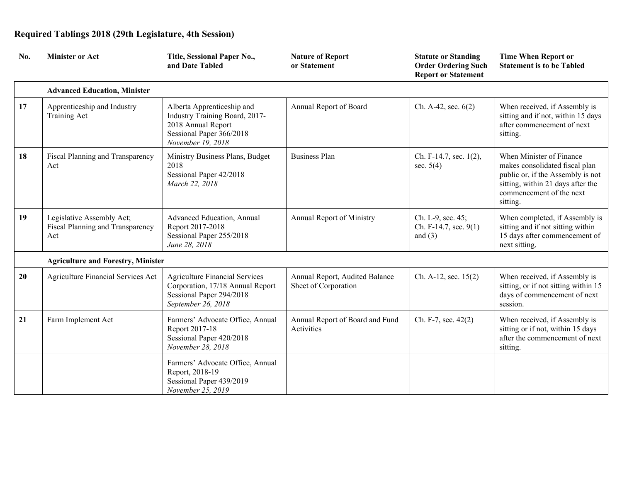| No. | <b>Minister or Act</b>                                               | Title, Sessional Paper No.,<br>and Date Tabled                                                                                      | <b>Nature of Report</b><br>or Statement                | <b>Statute or Standing</b><br><b>Order Ordering Such</b><br><b>Report or Statement</b> | <b>Time When Report or</b><br><b>Statement is to be Tabled</b>                                                                                                               |
|-----|----------------------------------------------------------------------|-------------------------------------------------------------------------------------------------------------------------------------|--------------------------------------------------------|----------------------------------------------------------------------------------------|------------------------------------------------------------------------------------------------------------------------------------------------------------------------------|
|     | <b>Advanced Education, Minister</b>                                  |                                                                                                                                     |                                                        |                                                                                        |                                                                                                                                                                              |
| 17  | Apprenticeship and Industry<br><b>Training Act</b>                   | Alberta Apprenticeship and<br>Industry Training Board, 2017-<br>2018 Annual Report<br>Sessional Paper 366/2018<br>November 19, 2018 | Annual Report of Board                                 | Ch. A-42, sec. $6(2)$                                                                  | When received, if Assembly is<br>sitting and if not, within 15 days<br>after commencement of next<br>sitting.                                                                |
| 18  | Fiscal Planning and Transparency<br>Act                              | Ministry Business Plans, Budget<br>2018<br>Sessional Paper 42/2018<br>March 22, 2018                                                | <b>Business Plan</b>                                   | Ch. F-14.7, sec. 1(2),<br>sec. $5(4)$                                                  | When Minister of Finance<br>makes consolidated fiscal plan<br>public or, if the Assembly is not<br>sitting, within 21 days after the<br>commencement of the next<br>sitting. |
| 19  | Legislative Assembly Act;<br>Fiscal Planning and Transparency<br>Act | Advanced Education, Annual<br>Report 2017-2018<br>Sessional Paper 255/2018<br>June 28, 2018                                         | Annual Report of Ministry                              | Ch. L-9, sec. 45;<br>Ch. F-14.7, sec. 9(1)<br>and $(3)$                                | When completed, if Assembly is<br>sitting and if not sitting within<br>15 days after commencement of<br>next sitting.                                                        |
|     | <b>Agriculture and Forestry, Minister</b>                            |                                                                                                                                     |                                                        |                                                                                        |                                                                                                                                                                              |
| 20  | Agriculture Financial Services Act                                   | <b>Agriculture Financial Services</b><br>Corporation, 17/18 Annual Report<br>Sessional Paper 294/2018<br>September 26, 2018         | Annual Report, Audited Balance<br>Sheet of Corporation | Ch. A-12, sec. $15(2)$                                                                 | When received, if Assembly is<br>sitting, or if not sitting within 15<br>days of commencement of next<br>session.                                                            |
| 21  | Farm Implement Act                                                   | Farmers' Advocate Office, Annual<br>Report 2017-18<br>Sessional Paper 420/2018<br>November 28, 2018                                 | Annual Report of Board and Fund<br>Activities          | Ch. F-7, sec. 42(2)                                                                    | When received, if Assembly is<br>sitting or if not, within 15 days<br>after the commencement of next<br>sitting.                                                             |
|     |                                                                      | Farmers' Advocate Office, Annual<br>Report, 2018-19<br>Sessional Paper 439/2019<br>November 25, 2019                                |                                                        |                                                                                        |                                                                                                                                                                              |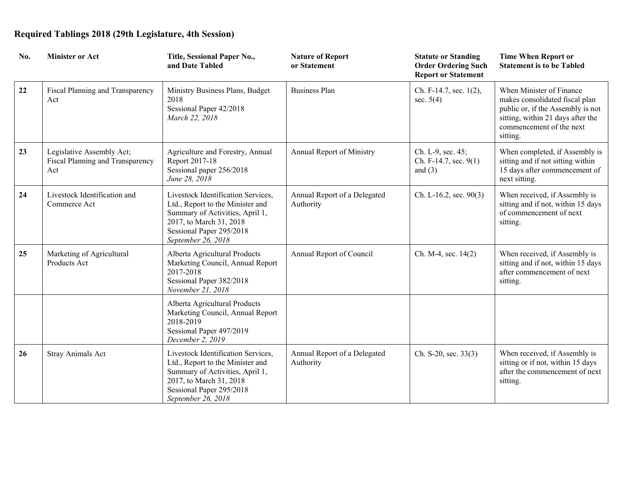| No. | <b>Minister or Act</b>                                               | Title, Sessional Paper No.,<br>and Date Tabled                                                                                                                                         | <b>Nature of Report</b><br>or Statement   | <b>Statute or Standing</b><br><b>Order Ordering Such</b><br><b>Report or Statement</b> | <b>Time When Report or</b><br><b>Statement is to be Tabled</b>                                                                                                               |
|-----|----------------------------------------------------------------------|----------------------------------------------------------------------------------------------------------------------------------------------------------------------------------------|-------------------------------------------|----------------------------------------------------------------------------------------|------------------------------------------------------------------------------------------------------------------------------------------------------------------------------|
| 22  | Fiscal Planning and Transparency<br>Act                              | Ministry Business Plans, Budget<br>2018<br>Sessional Paper 42/2018<br>March 22, 2018                                                                                                   | <b>Business Plan</b>                      | Ch. F-14.7, sec. 1(2),<br>sec. $5(4)$                                                  | When Minister of Finance<br>makes consolidated fiscal plan<br>public or, if the Assembly is not<br>sitting, within 21 days after the<br>commencement of the next<br>sitting. |
| 23  | Legislative Assembly Act;<br>Fiscal Planning and Transparency<br>Act | Agriculture and Forestry, Annual<br>Report 2017-18<br>Sessional paper 256/2018<br>June 28, 2018                                                                                        | Annual Report of Ministry                 | Ch. L-9, sec. 45;<br>Ch. F-14.7, sec. 9(1)<br>and $(3)$                                | When completed, if Assembly is<br>sitting and if not sitting within<br>15 days after commencement of<br>next sitting.                                                        |
| 24  | Livestock Identification and<br>Commerce Act                         | Livestock Identification Services,<br>Ltd., Report to the Minister and<br>Summary of Activities, April 1,<br>2017, to March 31, 2018<br>Sessional Paper 295/2018<br>September 26, 2018 | Annual Report of a Delegated<br>Authority | Ch. L-16.2, sec. $90(3)$                                                               | When received, if Assembly is<br>sitting and if not, within 15 days<br>of commencement of next<br>sitting.                                                                   |
| 25  | Marketing of Agricultural<br>Products Act                            | Alberta Agricultural Products<br>Marketing Council, Annual Report<br>2017-2018<br>Sessional Paper 382/2018<br>November 21, 2018                                                        | Annual Report of Council                  | Ch. M-4, sec. 14(2)                                                                    | When received, if Assembly is<br>sitting and if not, within 15 days<br>after commencement of next<br>sitting.                                                                |
|     |                                                                      | Alberta Agricultural Products<br>Marketing Council, Annual Report<br>2018-2019<br>Sessional Paper 497/2019<br>December 2, 2019                                                         |                                           |                                                                                        |                                                                                                                                                                              |
| 26  | Stray Animals Act                                                    | Livestock Identification Services,<br>Ltd., Report to the Minister and<br>Summary of Activities, April 1,<br>2017, to March 31, 2018<br>Sessional Paper 295/2018<br>September 26, 2018 | Annual Report of a Delegated<br>Authority | Ch. S-20, sec. 33(3)                                                                   | When received, if Assembly is<br>sitting or if not, within 15 days<br>after the commencement of next<br>sitting.                                                             |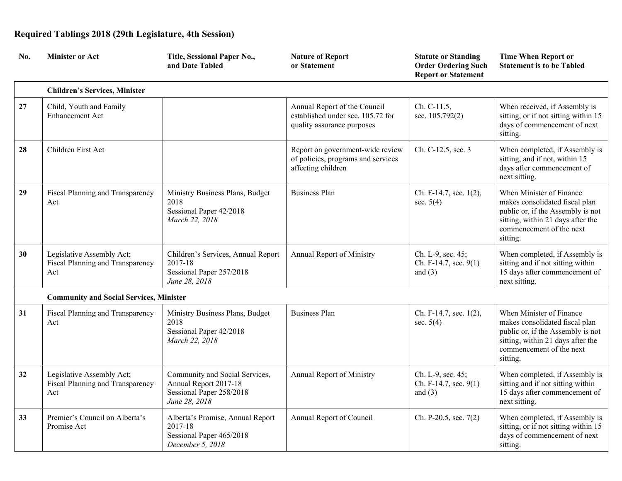| No. | <b>Minister or Act</b>                                               | Title, Sessional Paper No.,<br>and Date Tabled                                                       | <b>Nature of Report</b><br>or Statement                                                         | <b>Statute or Standing</b><br><b>Order Ordering Such</b><br><b>Report or Statement</b> | <b>Time When Report or</b><br><b>Statement is to be Tabled</b>                                                                                                               |
|-----|----------------------------------------------------------------------|------------------------------------------------------------------------------------------------------|-------------------------------------------------------------------------------------------------|----------------------------------------------------------------------------------------|------------------------------------------------------------------------------------------------------------------------------------------------------------------------------|
|     | <b>Children's Services, Minister</b>                                 |                                                                                                      |                                                                                                 |                                                                                        |                                                                                                                                                                              |
| 27  | Child, Youth and Family<br><b>Enhancement Act</b>                    |                                                                                                      | Annual Report of the Council<br>established under sec. 105.72 for<br>quality assurance purposes | Ch. C-11.5,<br>sec. 105.792(2)                                                         | When received, if Assembly is<br>sitting, or if not sitting within 15<br>days of commencement of next<br>sitting.                                                            |
| 28  | Children First Act                                                   |                                                                                                      | Report on government-wide review<br>of policies, programs and services<br>affecting children    | Ch. C-12.5, sec. 3                                                                     | When completed, if Assembly is<br>sitting, and if not, within 15<br>days after commencement of<br>next sitting.                                                              |
| 29  | Fiscal Planning and Transparency<br>Act                              | Ministry Business Plans, Budget<br>2018<br>Sessional Paper 42/2018<br>March 22, 2018                 | <b>Business Plan</b>                                                                            | Ch. F-14.7, sec. 1(2),<br>sec. $5(4)$                                                  | When Minister of Finance<br>makes consolidated fiscal plan<br>public or, if the Assembly is not<br>sitting, within 21 days after the<br>commencement of the next<br>sitting. |
| 30  | Legislative Assembly Act;<br>Fiscal Planning and Transparency<br>Act | Children's Services, Annual Report<br>2017-18<br>Sessional Paper 257/2018<br>June 28, 2018           | Annual Report of Ministry                                                                       | Ch. L-9, sec. 45;<br>Ch. F-14.7, sec. 9(1)<br>and $(3)$                                | When completed, if Assembly is<br>sitting and if not sitting within<br>15 days after commencement of<br>next sitting.                                                        |
|     | <b>Community and Social Services, Minister</b>                       |                                                                                                      |                                                                                                 |                                                                                        |                                                                                                                                                                              |
| 31  | Fiscal Planning and Transparency<br>Act                              | Ministry Business Plans, Budget<br>2018<br>Sessional Paper 42/2018<br>March 22, 2018                 | <b>Business Plan</b>                                                                            | Ch. F-14.7, sec. 1(2),<br>sec. $5(4)$                                                  | When Minister of Finance<br>makes consolidated fiscal plan<br>public or, if the Assembly is not<br>sitting, within 21 days after the<br>commencement of the next<br>sitting. |
| 32  | Legislative Assembly Act;<br>Fiscal Planning and Transparency<br>Act | Community and Social Services,<br>Annual Report 2017-18<br>Sessional Paper 258/2018<br>June 28, 2018 | Annual Report of Ministry                                                                       | Ch. L-9, sec. 45;<br>Ch. F-14.7, sec. 9(1)<br>and $(3)$                                | When completed, if Assembly is<br>sitting and if not sitting within<br>15 days after commencement of<br>next sitting.                                                        |
| 33  | Premier's Council on Alberta's<br>Promise Act                        | Alberta's Promise, Annual Report<br>2017-18<br>Sessional Paper 465/2018<br>December 5, 2018          | Annual Report of Council                                                                        | Ch. P-20.5, sec. $7(2)$                                                                | When completed, if Assembly is<br>sitting, or if not sitting within 15<br>days of commencement of next<br>sitting.                                                           |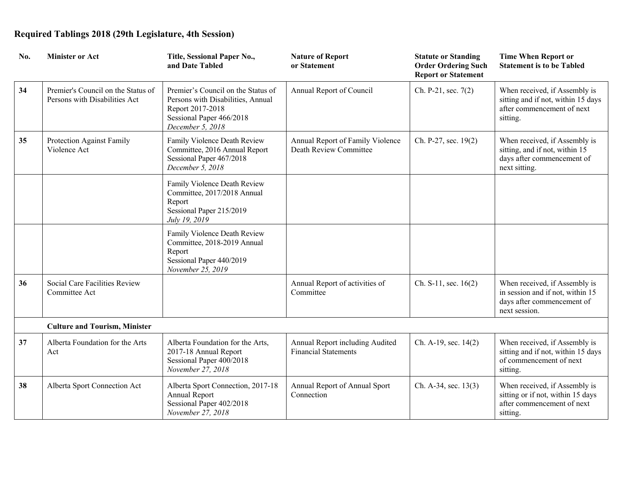| No. | <b>Minister or Act</b>                                              | Title, Sessional Paper No.,<br>and Date Tabled                                                                                              | <b>Nature of Report</b><br>or Statement                        | <b>Statute or Standing</b><br><b>Order Ordering Such</b><br><b>Report or Statement</b> | <b>Time When Report or</b><br><b>Statement is to be Tabled</b>                                                   |
|-----|---------------------------------------------------------------------|---------------------------------------------------------------------------------------------------------------------------------------------|----------------------------------------------------------------|----------------------------------------------------------------------------------------|------------------------------------------------------------------------------------------------------------------|
| 34  | Premier's Council on the Status of<br>Persons with Disabilities Act | Premier's Council on the Status of<br>Persons with Disabilities, Annual<br>Report 2017-2018<br>Sessional Paper 466/2018<br>December 5, 2018 | Annual Report of Council                                       | Ch. P-21, sec. 7(2)                                                                    | When received, if Assembly is<br>sitting and if not, within 15 days<br>after commencement of next<br>sitting.    |
| 35  | Protection Against Family<br>Violence Act                           | Family Violence Death Review<br>Committee, 2016 Annual Report<br>Sessional Paper 467/2018<br>December 5, 2018                               | Annual Report of Family Violence<br>Death Review Committee     | Ch. P-27, sec. 19(2)                                                                   | When received, if Assembly is<br>sitting, and if not, within 15<br>days after commencement of<br>next sitting.   |
|     |                                                                     | Family Violence Death Review<br>Committee, 2017/2018 Annual<br>Report<br>Sessional Paper 215/2019<br>July 19, 2019                          |                                                                |                                                                                        |                                                                                                                  |
|     |                                                                     | Family Violence Death Review<br>Committee, 2018-2019 Annual<br>Report<br>Sessional Paper 440/2019<br>November 25, 2019                      |                                                                |                                                                                        |                                                                                                                  |
| 36  | Social Care Facilities Review<br>Committee Act                      |                                                                                                                                             | Annual Report of activities of<br>Committee                    | Ch. S-11, sec. 16(2)                                                                   | When received, if Assembly is<br>in session and if not, within 15<br>days after commencement of<br>next session. |
|     | <b>Culture and Tourism, Minister</b>                                |                                                                                                                                             |                                                                |                                                                                        |                                                                                                                  |
| 37  | Alberta Foundation for the Arts<br>Act                              | Alberta Foundation for the Arts,<br>2017-18 Annual Report<br>Sessional Paper 400/2018<br>November 27, 2018                                  | Annual Report including Audited<br><b>Financial Statements</b> | Ch. A-19, sec. 14(2)                                                                   | When received, if Assembly is<br>sitting and if not, within 15 days<br>of commencement of next<br>sitting.       |
| 38  | Alberta Sport Connection Act                                        | Alberta Sport Connection, 2017-18<br>Annual Report<br>Sessional Paper 402/2018<br>November 27, 2018                                         | Annual Report of Annual Sport<br>Connection                    | Ch. A-34, sec. 13(3)                                                                   | When received, if Assembly is<br>sitting or if not, within 15 days<br>after commencement of next<br>sitting.     |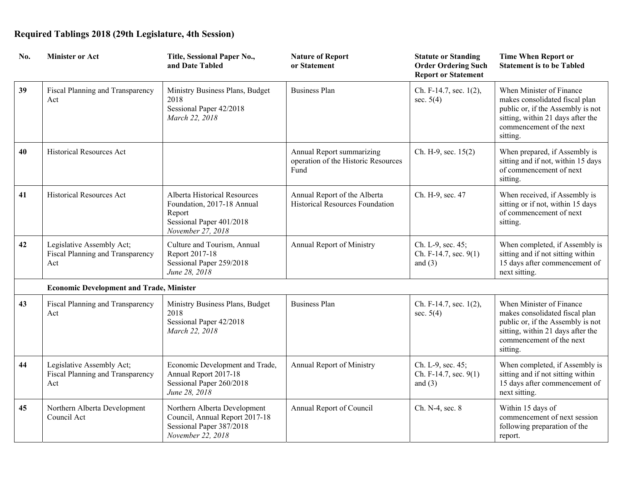| No. | <b>Minister or Act</b>                                               | Title, Sessional Paper No.,<br>and Date Tabled                                                                        | <b>Nature of Report</b><br>or Statement                                  | <b>Statute or Standing</b><br><b>Order Ordering Such</b><br><b>Report or Statement</b> | <b>Time When Report or</b><br><b>Statement is to be Tabled</b>                                                                                                               |
|-----|----------------------------------------------------------------------|-----------------------------------------------------------------------------------------------------------------------|--------------------------------------------------------------------------|----------------------------------------------------------------------------------------|------------------------------------------------------------------------------------------------------------------------------------------------------------------------------|
| 39  | Fiscal Planning and Transparency<br>Act                              | Ministry Business Plans, Budget<br>2018<br>Sessional Paper 42/2018<br>March 22, 2018                                  | <b>Business Plan</b>                                                     | Ch. F-14.7, sec. 1(2),<br>sec. $5(4)$                                                  | When Minister of Finance<br>makes consolidated fiscal plan<br>public or, if the Assembly is not<br>sitting, within 21 days after the<br>commencement of the next<br>sitting. |
| 40  | <b>Historical Resources Act</b>                                      |                                                                                                                       | Annual Report summarizing<br>operation of the Historic Resources<br>Fund | Ch. H-9, sec. 15(2)                                                                    | When prepared, if Assembly is<br>sitting and if not, within 15 days<br>of commencement of next<br>sitting.                                                                   |
| 41  | Historical Resources Act                                             | Alberta Historical Resources<br>Foundation, 2017-18 Annual<br>Report<br>Sessional Paper 401/2018<br>November 27, 2018 | Annual Report of the Alberta<br>Historical Resources Foundation          | Ch. H-9, sec. 47                                                                       | When received, if Assembly is<br>sitting or if not, within 15 days<br>of commencement of next<br>sitting.                                                                    |
| 42  | Legislative Assembly Act;<br>Fiscal Planning and Transparency<br>Act | Culture and Tourism, Annual<br>Report 2017-18<br>Sessional Paper 259/2018<br>June 28, 2018                            | Annual Report of Ministry                                                | Ch. L-9, sec. 45;<br>Ch. F-14.7, sec. 9(1)<br>and $(3)$                                | When completed, if Assembly is<br>sitting and if not sitting within<br>15 days after commencement of<br>next sitting.                                                        |
|     | <b>Economic Development and Trade, Minister</b>                      |                                                                                                                       |                                                                          |                                                                                        |                                                                                                                                                                              |
| 43  | Fiscal Planning and Transparency<br>Act                              | Ministry Business Plans, Budget<br>2018<br>Sessional Paper 42/2018<br>March 22, 2018                                  | <b>Business Plan</b>                                                     | Ch. F-14.7, sec. 1(2),<br>sec. $5(4)$                                                  | When Minister of Finance<br>makes consolidated fiscal plan<br>public or, if the Assembly is not<br>sitting, within 21 days after the<br>commencement of the next<br>sitting. |
| 44  | Legislative Assembly Act;<br>Fiscal Planning and Transparency<br>Act | Economic Development and Trade,<br>Annual Report 2017-18<br>Sessional Paper 260/2018<br>June 28, 2018                 | Annual Report of Ministry                                                | Ch. L-9, sec. 45;<br>Ch. F-14.7, sec. 9(1)<br>and $(3)$                                | When completed, if Assembly is<br>sitting and if not sitting within<br>15 days after commencement of<br>next sitting.                                                        |
| 45  | Northern Alberta Development<br>Council Act                          | Northern Alberta Development<br>Council, Annual Report 2017-18<br>Sessional Paper 387/2018<br>November 22, 2018       | Annual Report of Council                                                 | Ch. N-4, sec. 8                                                                        | Within 15 days of<br>commencement of next session<br>following preparation of the<br>report.                                                                                 |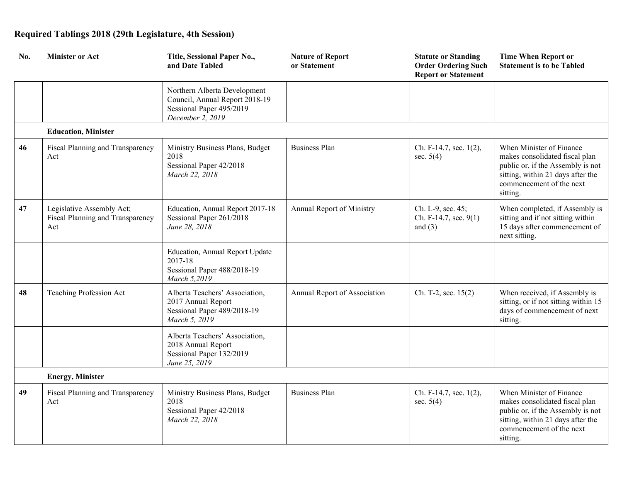| No. | <b>Minister or Act</b>                                               | Title, Sessional Paper No.,<br>and Date Tabled                                                                 | <b>Nature of Report</b><br>or Statement | <b>Statute or Standing</b><br><b>Order Ordering Such</b><br><b>Report or Statement</b> | <b>Time When Report or</b><br><b>Statement is to be Tabled</b>                                                                                                               |
|-----|----------------------------------------------------------------------|----------------------------------------------------------------------------------------------------------------|-----------------------------------------|----------------------------------------------------------------------------------------|------------------------------------------------------------------------------------------------------------------------------------------------------------------------------|
|     |                                                                      | Northern Alberta Development<br>Council, Annual Report 2018-19<br>Sessional Paper 495/2019<br>December 2, 2019 |                                         |                                                                                        |                                                                                                                                                                              |
|     | <b>Education, Minister</b>                                           |                                                                                                                |                                         |                                                                                        |                                                                                                                                                                              |
| 46  | Fiscal Planning and Transparency<br>Act                              | Ministry Business Plans, Budget<br>2018<br>Sessional Paper 42/2018<br>March 22, 2018                           | <b>Business Plan</b>                    | Ch. F-14.7, sec. 1(2),<br>sec. $5(4)$                                                  | When Minister of Finance<br>makes consolidated fiscal plan<br>public or, if the Assembly is not<br>sitting, within 21 days after the<br>commencement of the next<br>sitting. |
| 47  | Legislative Assembly Act;<br>Fiscal Planning and Transparency<br>Act | Education, Annual Report 2017-18<br>Sessional Paper 261/2018<br>June 28, 2018                                  | Annual Report of Ministry               | Ch. L-9, sec. 45;<br>Ch. F-14.7, sec. 9(1)<br>and $(3)$                                | When completed, if Assembly is<br>sitting and if not sitting within<br>15 days after commencement of<br>next sitting.                                                        |
|     |                                                                      | Education, Annual Report Update<br>2017-18<br>Sessional Paper 488/2018-19<br>March 5,2019                      |                                         |                                                                                        |                                                                                                                                                                              |
| 48  | Teaching Profession Act                                              | Alberta Teachers' Association,<br>2017 Annual Report<br>Sessional Paper 489/2018-19<br>March 5, 2019           | Annual Report of Association            | Ch. T-2, sec. 15(2)                                                                    | When received, if Assembly is<br>sitting, or if not sitting within 15<br>days of commencement of next<br>sitting.                                                            |
|     |                                                                      | Alberta Teachers' Association,<br>2018 Annual Report<br>Sessional Paper 132/2019<br>June 25, 2019              |                                         |                                                                                        |                                                                                                                                                                              |
|     | <b>Energy, Minister</b>                                              |                                                                                                                |                                         |                                                                                        |                                                                                                                                                                              |
| 49  | Fiscal Planning and Transparency<br>Act                              | Ministry Business Plans, Budget<br>2018<br>Sessional Paper 42/2018<br>March 22, 2018                           | <b>Business Plan</b>                    | Ch. F-14.7, sec. 1(2),<br>sec. $5(4)$                                                  | When Minister of Finance<br>makes consolidated fiscal plan<br>public or, if the Assembly is not<br>sitting, within 21 days after the<br>commencement of the next<br>sitting. |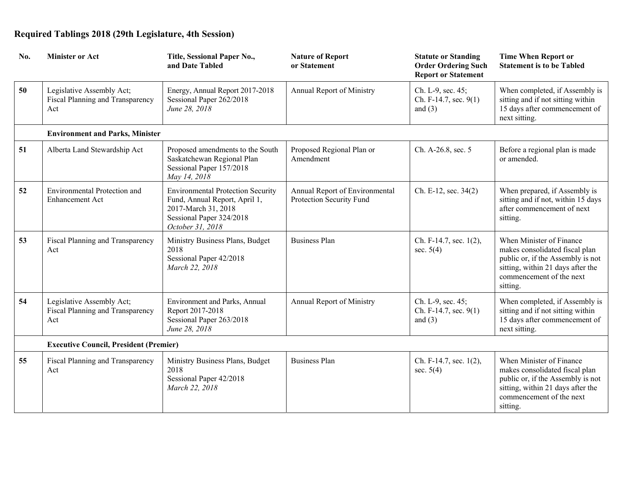| No. | <b>Minister or Act</b>                                               | Title, Sessional Paper No.,<br>and Date Tabled                                                                                                   | <b>Nature of Report</b><br>or Statement                    | <b>Statute or Standing</b><br><b>Order Ordering Such</b><br><b>Report or Statement</b> | <b>Time When Report or</b><br><b>Statement is to be Tabled</b>                                                                                                               |
|-----|----------------------------------------------------------------------|--------------------------------------------------------------------------------------------------------------------------------------------------|------------------------------------------------------------|----------------------------------------------------------------------------------------|------------------------------------------------------------------------------------------------------------------------------------------------------------------------------|
| 50  | Legislative Assembly Act;<br>Fiscal Planning and Transparency<br>Act | Energy, Annual Report 2017-2018<br>Sessional Paper 262/2018<br>June 28, 2018                                                                     | Annual Report of Ministry                                  | Ch. L-9, sec. 45;<br>Ch. F-14.7, sec. 9(1)<br>and $(3)$                                | When completed, if Assembly is<br>sitting and if not sitting within<br>15 days after commencement of<br>next sitting.                                                        |
|     | <b>Environment and Parks, Minister</b>                               |                                                                                                                                                  |                                                            |                                                                                        |                                                                                                                                                                              |
| 51  | Alberta Land Stewardship Act                                         | Proposed amendments to the South<br>Saskatchewan Regional Plan<br>Sessional Paper 157/2018<br>May 14, 2018                                       | Proposed Regional Plan or<br>Amendment                     | Ch. A-26.8, sec. 5                                                                     | Before a regional plan is made<br>or amended.                                                                                                                                |
| 52  | Environmental Protection and<br>Enhancement Act                      | <b>Environmental Protection Security</b><br>Fund, Annual Report, April 1,<br>2017-March 31, 2018<br>Sessional Paper 324/2018<br>October 31, 2018 | Annual Report of Environmental<br>Protection Security Fund | Ch. E-12, sec. 34(2)                                                                   | When prepared, if Assembly is<br>sitting and if not, within 15 days<br>after commencement of next<br>sitting.                                                                |
| 53  | Fiscal Planning and Transparency<br>Act                              | Ministry Business Plans, Budget<br>2018<br>Sessional Paper 42/2018<br>March 22, 2018                                                             | <b>Business Plan</b>                                       | Ch. F-14.7, sec. 1(2),<br>sec. $5(4)$                                                  | When Minister of Finance<br>makes consolidated fiscal plan<br>public or, if the Assembly is not<br>sitting, within 21 days after the<br>commencement of the next<br>sitting. |
| 54  | Legislative Assembly Act;<br>Fiscal Planning and Transparency<br>Act | Environment and Parks, Annual<br>Report 2017-2018<br>Sessional Paper 263/2018<br>June 28, 2018                                                   | Annual Report of Ministry                                  | Ch. L-9, sec. 45;<br>Ch. F-14.7, sec. 9(1)<br>and $(3)$                                | When completed, if Assembly is<br>sitting and if not sitting within<br>15 days after commencement of<br>next sitting.                                                        |
|     | <b>Executive Council, President (Premier)</b>                        |                                                                                                                                                  |                                                            |                                                                                        |                                                                                                                                                                              |
| 55  | Fiscal Planning and Transparency<br>Act                              | Ministry Business Plans, Budget<br>2018<br>Sessional Paper 42/2018<br>March 22, 2018                                                             | <b>Business Plan</b>                                       | Ch. F-14.7, sec. 1(2),<br>sec. $5(4)$                                                  | When Minister of Finance<br>makes consolidated fiscal plan<br>public or, if the Assembly is not<br>sitting, within 21 days after the<br>commencement of the next<br>sitting. |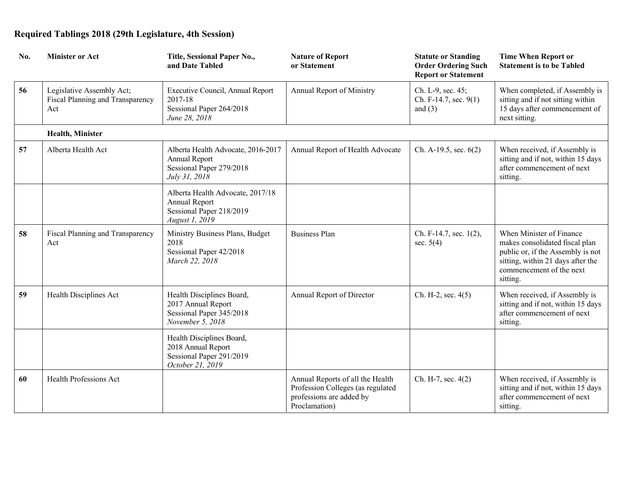| No. | <b>Minister or Act</b>                                               | Title, Sessional Paper No.,<br>and Date Tabled                                                   | <b>Nature of Report</b><br>or Statement                                                                            | <b>Statute or Standing</b><br><b>Order Ordering Such</b><br><b>Report or Statement</b> | <b>Time When Report or</b><br><b>Statement is to be Tabled</b>                                                                                                               |
|-----|----------------------------------------------------------------------|--------------------------------------------------------------------------------------------------|--------------------------------------------------------------------------------------------------------------------|----------------------------------------------------------------------------------------|------------------------------------------------------------------------------------------------------------------------------------------------------------------------------|
| 56  | Legislative Assembly Act;<br>Fiscal Planning and Transparency<br>Act | Executive Council, Annual Report<br>2017-18<br>Sessional Paper 264/2018<br>June 28, 2018         | Annual Report of Ministry                                                                                          | Ch. L-9, sec. 45;<br>Ch. F-14.7, sec. 9(1)<br>and $(3)$                                | When completed, if Assembly is<br>sitting and if not sitting within<br>15 days after commencement of<br>next sitting.                                                        |
|     | Health, Minister                                                     |                                                                                                  |                                                                                                                    |                                                                                        |                                                                                                                                                                              |
| 57  | Alberta Health Act                                                   | Alberta Health Advocate, 2016-2017<br>Annual Report<br>Sessional Paper 279/2018<br>July 31, 2018 | Annual Report of Health Advocate                                                                                   | Ch. A-19.5, sec. 6(2)                                                                  | When received, if Assembly is<br>sitting and if not, within 15 days<br>after commencement of next<br>sitting.                                                                |
|     |                                                                      | Alberta Health Advocate, 2017/18<br>Annual Report<br>Sessional Paper 218/2019<br>August 1, 2019  |                                                                                                                    |                                                                                        |                                                                                                                                                                              |
| 58  | Fiscal Planning and Transparency<br>Act                              | Ministry Business Plans, Budget<br>2018<br>Sessional Paper 42/2018<br>March 22, 2018             | <b>Business Plan</b>                                                                                               | Ch. F-14.7, sec. 1(2),<br>sec. $5(4)$                                                  | When Minister of Finance<br>makes consolidated fiscal plan<br>public or, if the Assembly is not<br>sitting, within 21 days after the<br>commencement of the next<br>sitting. |
| 59  | Health Disciplines Act                                               | Health Disciplines Board,<br>2017 Annual Report<br>Sessional Paper 345/2018<br>November 5, 2018  | Annual Report of Director                                                                                          | Ch. H-2, sec. $4(5)$                                                                   | When received, if Assembly is<br>sitting and if not, within 15 days<br>after commencement of next<br>sitting.                                                                |
|     |                                                                      | Health Disciplines Board,<br>2018 Annual Report<br>Sessional Paper 291/2019<br>October 21, 2019  |                                                                                                                    |                                                                                        |                                                                                                                                                                              |
| 60  | Health Professions Act                                               |                                                                                                  | Annual Reports of all the Health<br>Profession Colleges (as regulated<br>professions are added by<br>Proclamation) | Ch. H-7, sec. 4(2)                                                                     | When received, if Assembly is<br>sitting and if not, within 15 days<br>after commencement of next<br>sitting.                                                                |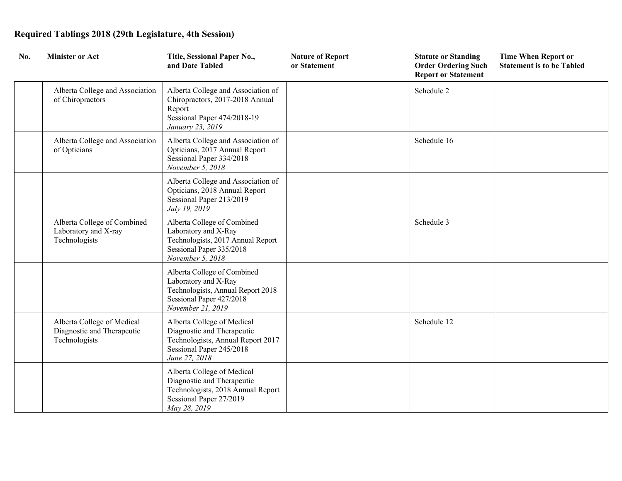| No. | <b>Minister or Act</b>                                                    | Title, Sessional Paper No.,<br>and Date Tabled                                                                                             | <b>Nature of Report</b><br>or Statement | <b>Statute or Standing</b><br><b>Order Ordering Such</b><br><b>Report or Statement</b> | <b>Time When Report or</b><br><b>Statement is to be Tabled</b> |
|-----|---------------------------------------------------------------------------|--------------------------------------------------------------------------------------------------------------------------------------------|-----------------------------------------|----------------------------------------------------------------------------------------|----------------------------------------------------------------|
|     | Alberta College and Association<br>of Chiropractors                       | Alberta College and Association of<br>Chiropractors, 2017-2018 Annual<br>Report<br>Sessional Paper 474/2018-19<br>January 23, 2019         |                                         | Schedule 2                                                                             |                                                                |
|     | Alberta College and Association<br>of Opticians                           | Alberta College and Association of<br>Opticians, 2017 Annual Report<br>Sessional Paper 334/2018<br>November 5, 2018                        |                                         | Schedule 16                                                                            |                                                                |
|     |                                                                           | Alberta College and Association of<br>Opticians, 2018 Annual Report<br>Sessional Paper 213/2019<br>July 19, 2019                           |                                         |                                                                                        |                                                                |
|     | Alberta College of Combined<br>Laboratory and X-ray<br>Technologists      | Alberta College of Combined<br>Laboratory and X-Ray<br>Technologists, 2017 Annual Report<br>Sessional Paper 335/2018<br>November 5, 2018   |                                         | Schedule 3                                                                             |                                                                |
|     |                                                                           | Alberta College of Combined<br>Laboratory and X-Ray<br>Technologists, Annual Report 2018<br>Sessional Paper 427/2018<br>November 21, 2019  |                                         |                                                                                        |                                                                |
|     | Alberta College of Medical<br>Diagnostic and Therapeutic<br>Technologists | Alberta College of Medical<br>Diagnostic and Therapeutic<br>Technologists, Annual Report 2017<br>Sessional Paper 245/2018<br>June 27, 2018 |                                         | Schedule 12                                                                            |                                                                |
|     |                                                                           | Alberta College of Medical<br>Diagnostic and Therapeutic<br>Technologists, 2018 Annual Report<br>Sessional Paper 27/2019<br>May 28, 2019   |                                         |                                                                                        |                                                                |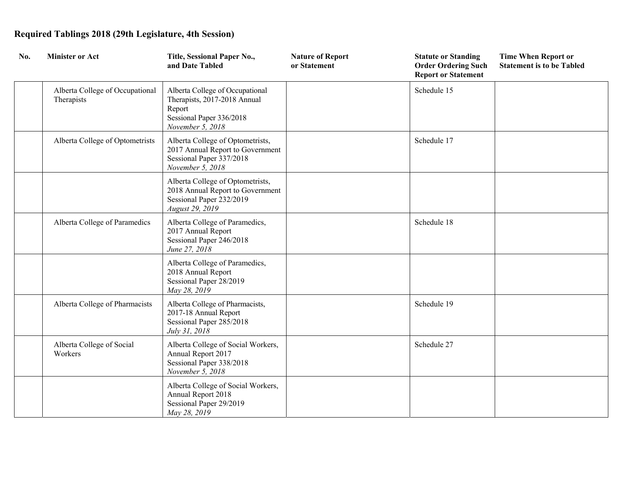| No. | <b>Minister or Act</b>                        | Title, Sessional Paper No.,<br>and Date Tabled                                                                            | <b>Nature of Report</b><br>or Statement | <b>Statute or Standing</b><br><b>Order Ordering Such</b><br><b>Report or Statement</b> | <b>Time When Report or</b><br><b>Statement is to be Tabled</b> |
|-----|-----------------------------------------------|---------------------------------------------------------------------------------------------------------------------------|-----------------------------------------|----------------------------------------------------------------------------------------|----------------------------------------------------------------|
|     | Alberta College of Occupational<br>Therapists | Alberta College of Occupational<br>Therapists, 2017-2018 Annual<br>Report<br>Sessional Paper 336/2018<br>November 5, 2018 |                                         | Schedule 15                                                                            |                                                                |
|     | Alberta College of Optometrists               | Alberta College of Optometrists,<br>2017 Annual Report to Government<br>Sessional Paper 337/2018<br>November 5, 2018      |                                         | Schedule 17                                                                            |                                                                |
|     |                                               | Alberta College of Optometrists,<br>2018 Annual Report to Government<br>Sessional Paper 232/2019<br>August 29, 2019       |                                         |                                                                                        |                                                                |
|     | Alberta College of Paramedics                 | Alberta College of Paramedics,<br>2017 Annual Report<br>Sessional Paper 246/2018<br>June 27, 2018                         |                                         | Schedule 18                                                                            |                                                                |
|     |                                               | Alberta College of Paramedics,<br>2018 Annual Report<br>Sessional Paper 28/2019<br>May 28, 2019                           |                                         |                                                                                        |                                                                |
|     | Alberta College of Pharmacists                | Alberta College of Pharmacists,<br>2017-18 Annual Report<br>Sessional Paper 285/2018<br>July 31, 2018                     |                                         | Schedule 19                                                                            |                                                                |
|     | Alberta College of Social<br>Workers          | Alberta College of Social Workers,<br>Annual Report 2017<br>Sessional Paper 338/2018<br>November 5, 2018                  |                                         | Schedule 27                                                                            |                                                                |
|     |                                               | Alberta College of Social Workers,<br>Annual Report 2018<br>Sessional Paper 29/2019<br>May 28, 2019                       |                                         |                                                                                        |                                                                |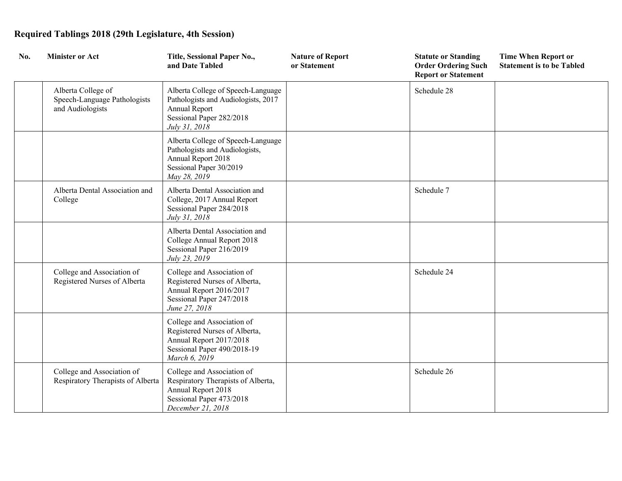| No. | <b>Minister or Act</b>                                                 | Title, Sessional Paper No.,<br>and Date Tabled                                                                                          | <b>Nature of Report</b><br>or Statement | <b>Statute or Standing</b><br><b>Order Ordering Such</b><br><b>Report or Statement</b> | <b>Time When Report or</b><br><b>Statement is to be Tabled</b> |
|-----|------------------------------------------------------------------------|-----------------------------------------------------------------------------------------------------------------------------------------|-----------------------------------------|----------------------------------------------------------------------------------------|----------------------------------------------------------------|
|     | Alberta College of<br>Speech-Language Pathologists<br>and Audiologists | Alberta College of Speech-Language<br>Pathologists and Audiologists, 2017<br>Annual Report<br>Sessional Paper 282/2018<br>July 31, 2018 |                                         | Schedule 28                                                                            |                                                                |
|     |                                                                        | Alberta College of Speech-Language<br>Pathologists and Audiologists,<br>Annual Report 2018<br>Sessional Paper 30/2019<br>May 28, 2019   |                                         |                                                                                        |                                                                |
|     | Alberta Dental Association and<br>College                              | Alberta Dental Association and<br>College, 2017 Annual Report<br>Sessional Paper 284/2018<br>July 31, 2018                              |                                         | Schedule 7                                                                             |                                                                |
|     |                                                                        | Alberta Dental Association and<br>College Annual Report 2018<br>Sessional Paper 216/2019<br>July 23, 2019                               |                                         |                                                                                        |                                                                |
|     | College and Association of<br>Registered Nurses of Alberta             | College and Association of<br>Registered Nurses of Alberta,<br>Annual Report 2016/2017<br>Sessional Paper 247/2018<br>June 27, 2018     |                                         | Schedule 24                                                                            |                                                                |
|     |                                                                        | College and Association of<br>Registered Nurses of Alberta,<br>Annual Report 2017/2018<br>Sessional Paper 490/2018-19<br>March 6, 2019  |                                         |                                                                                        |                                                                |
|     | College and Association of<br>Respiratory Therapists of Alberta        | College and Association of<br>Respiratory Therapists of Alberta,<br>Annual Report 2018<br>Sessional Paper 473/2018<br>December 21, 2018 |                                         | Schedule 26                                                                            |                                                                |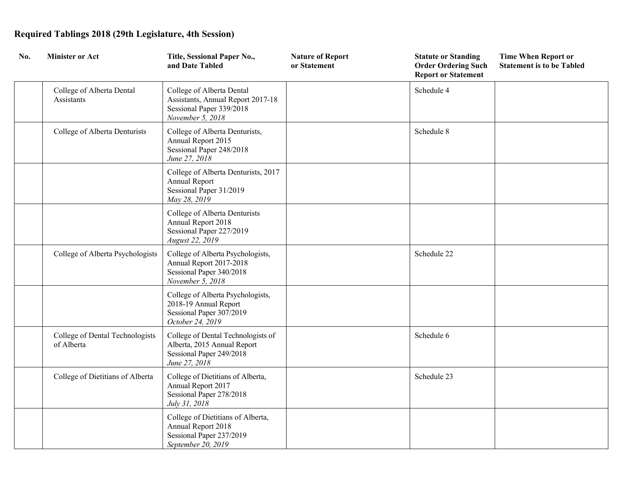| No. | <b>Minister or Act</b>                        | Title, Sessional Paper No.,<br>and Date Tabled                                                                   | <b>Nature of Report</b><br>or Statement | <b>Statute or Standing</b><br><b>Order Ordering Such</b><br><b>Report or Statement</b> | <b>Time When Report or</b><br><b>Statement is to be Tabled</b> |
|-----|-----------------------------------------------|------------------------------------------------------------------------------------------------------------------|-----------------------------------------|----------------------------------------------------------------------------------------|----------------------------------------------------------------|
|     | College of Alberta Dental<br>Assistants       | College of Alberta Dental<br>Assistants, Annual Report 2017-18<br>Sessional Paper 339/2018<br>November 5, 2018   |                                         | Schedule 4                                                                             |                                                                |
|     | College of Alberta Denturists                 | College of Alberta Denturists,<br>Annual Report 2015<br>Sessional Paper 248/2018<br>June 27, 2018                |                                         | Schedule 8                                                                             |                                                                |
|     |                                               | College of Alberta Denturists, 2017<br>Annual Report<br>Sessional Paper 31/2019<br>May 28, 2019                  |                                         |                                                                                        |                                                                |
|     |                                               | College of Alberta Denturists<br>Annual Report 2018<br>Sessional Paper 227/2019<br>August 22, 2019               |                                         |                                                                                        |                                                                |
|     | College of Alberta Psychologists              | College of Alberta Psychologists,<br>Annual Report 2017-2018<br>Sessional Paper 340/2018<br>November 5, 2018     |                                         | Schedule 22                                                                            |                                                                |
|     |                                               | College of Alberta Psychologists,<br>2018-19 Annual Report<br>Sessional Paper 307/2019<br>October 24, 2019       |                                         |                                                                                        |                                                                |
|     | College of Dental Technologists<br>of Alberta | College of Dental Technologists of<br>Alberta, 2015 Annual Report<br>Sessional Paper 249/2018<br>June 27, 2018   |                                         | Schedule 6                                                                             |                                                                |
|     | College of Dietitians of Alberta              | College of Dietitians of Alberta,<br>Annual Report 2017<br>Sessional Paper 278/2018<br>July 31, 2018             |                                         | Schedule 23                                                                            |                                                                |
|     |                                               | College of Dietitians of Alberta,<br><b>Annual Report 2018</b><br>Sessional Paper 237/2019<br>September 20, 2019 |                                         |                                                                                        |                                                                |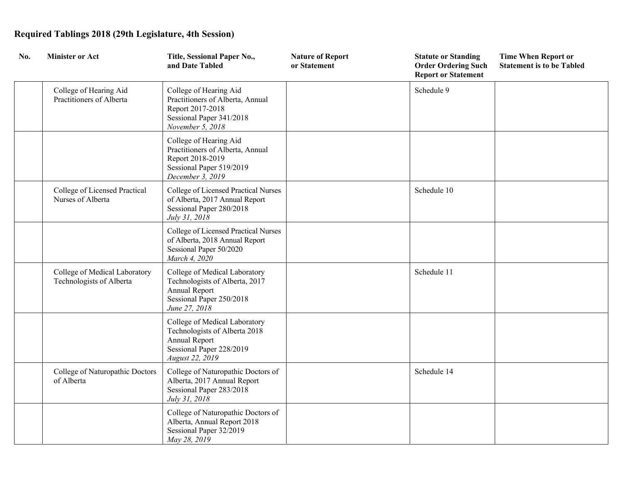| No. | <b>Minister or Act</b>                                    | Title, Sessional Paper No.,<br>and Date Tabled                                                                                        | <b>Nature of Report</b><br>or Statement | <b>Statute or Standing</b><br><b>Order Ordering Such</b><br><b>Report or Statement</b> | <b>Time When Report or</b><br><b>Statement is to be Tabled</b> |
|-----|-----------------------------------------------------------|---------------------------------------------------------------------------------------------------------------------------------------|-----------------------------------------|----------------------------------------------------------------------------------------|----------------------------------------------------------------|
|     | College of Hearing Aid<br>Practitioners of Alberta        | College of Hearing Aid<br>Practitioners of Alberta, Annual<br>Report 2017-2018<br>Sessional Paper 341/2018<br>November 5, 2018        |                                         | Schedule 9                                                                             |                                                                |
|     |                                                           | College of Hearing Aid<br>Practitioners of Alberta, Annual<br>Report 2018-2019<br>Sessional Paper 519/2019<br>December 3, 2019        |                                         |                                                                                        |                                                                |
|     | College of Licensed Practical<br>Nurses of Alberta        | College of Licensed Practical Nurses<br>of Alberta, 2017 Annual Report<br>Sessional Paper 280/2018<br>July 31, 2018                   |                                         | Schedule 10                                                                            |                                                                |
|     |                                                           | College of Licensed Practical Nurses<br>of Alberta, 2018 Annual Report<br>Sessional Paper 50/2020<br>March 4, 2020                    |                                         |                                                                                        |                                                                |
|     | College of Medical Laboratory<br>Technologists of Alberta | College of Medical Laboratory<br>Technologists of Alberta, 2017<br>Annual Report<br>Sessional Paper 250/2018<br>June 27, 2018         |                                         | Schedule 11                                                                            |                                                                |
|     |                                                           | College of Medical Laboratory<br>Technologists of Alberta 2018<br><b>Annual Report</b><br>Sessional Paper 228/2019<br>August 22, 2019 |                                         |                                                                                        |                                                                |
|     | College of Naturopathic Doctors<br>of Alberta             | College of Naturopathic Doctors of<br>Alberta, 2017 Annual Report<br>Sessional Paper 283/2018<br>July 31, 2018                        |                                         | Schedule 14                                                                            |                                                                |
|     |                                                           | College of Naturopathic Doctors of<br>Alberta, Annual Report 2018<br>Sessional Paper 32/2019<br>May 28, 2019                          |                                         |                                                                                        |                                                                |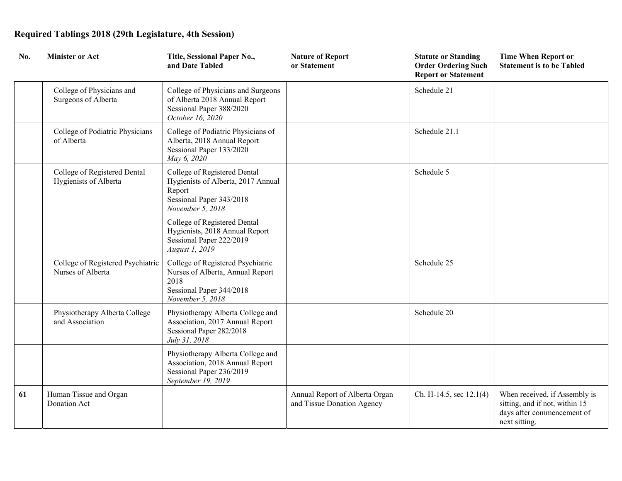| No. | <b>Minister or Act</b>                                 | Title, Sessional Paper No.,<br>and Date Tabled                                                                                | <b>Nature of Report</b><br>or Statement                      | <b>Statute or Standing</b><br><b>Order Ordering Such</b><br><b>Report or Statement</b> | <b>Time When Report or</b><br><b>Statement is to be Tabled</b>                                                 |
|-----|--------------------------------------------------------|-------------------------------------------------------------------------------------------------------------------------------|--------------------------------------------------------------|----------------------------------------------------------------------------------------|----------------------------------------------------------------------------------------------------------------|
|     | College of Physicians and<br>Surgeons of Alberta       | College of Physicians and Surgeons<br>of Alberta 2018 Annual Report<br>Sessional Paper 388/2020<br>October 16, 2020           |                                                              | Schedule 21                                                                            |                                                                                                                |
|     | College of Podiatric Physicians<br>of Alberta          | College of Podiatric Physicians of<br>Alberta, 2018 Annual Report<br>Sessional Paper 133/2020<br>May 6, 2020                  |                                                              | Schedule 21.1                                                                          |                                                                                                                |
|     | College of Registered Dental<br>Hygienists of Alberta  | College of Registered Dental<br>Hygienists of Alberta, 2017 Annual<br>Report<br>Sessional Paper 343/2018<br>November 5, 2018  |                                                              | Schedule 5                                                                             |                                                                                                                |
|     |                                                        | College of Registered Dental<br>Hygienists, 2018 Annual Report<br>Sessional Paper 222/2019<br>August 1, 2019                  |                                                              |                                                                                        |                                                                                                                |
|     | College of Registered Psychiatric<br>Nurses of Alberta | College of Registered Psychiatric<br>Nurses of Alberta, Annual Report<br>2018<br>Sessional Paper 344/2018<br>November 5, 2018 |                                                              | Schedule 25                                                                            |                                                                                                                |
|     | Physiotherapy Alberta College<br>and Association       | Physiotherapy Alberta College and<br>Association, 2017 Annual Report<br>Sessional Paper 282/2018<br>July 31, 2018             |                                                              | Schedule 20                                                                            |                                                                                                                |
|     |                                                        | Physiotherapy Alberta College and<br>Association, 2018 Annual Report<br>Sessional Paper 236/2019<br>September 19, 2019        |                                                              |                                                                                        |                                                                                                                |
| 61  | Human Tissue and Organ<br>Donation Act                 |                                                                                                                               | Annual Report of Alberta Organ<br>and Tissue Donation Agency | Ch. H-14.5, sec 12.1(4)                                                                | When received, if Assembly is<br>sitting, and if not, within 15<br>days after commencement of<br>next sitting. |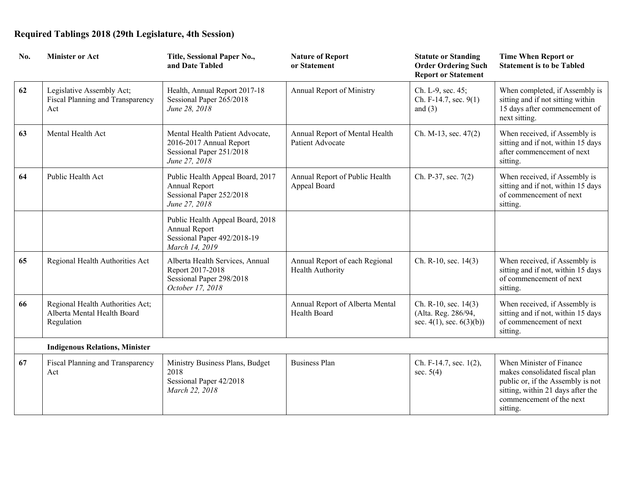| No. | <b>Minister or Act</b>                                                        | Title, Sessional Paper No.,<br>and Date Tabled                                                          | <b>Nature of Report</b><br>or Statement            | <b>Statute or Standing</b><br><b>Order Ordering Such</b><br><b>Report or Statement</b> | <b>Time When Report or</b><br><b>Statement is to be Tabled</b>                                                                                                               |
|-----|-------------------------------------------------------------------------------|---------------------------------------------------------------------------------------------------------|----------------------------------------------------|----------------------------------------------------------------------------------------|------------------------------------------------------------------------------------------------------------------------------------------------------------------------------|
| 62  | Legislative Assembly Act;<br>Fiscal Planning and Transparency<br>Act          | Health, Annual Report 2017-18<br>Sessional Paper 265/2018<br>June 28, 2018                              | <b>Annual Report of Ministry</b>                   | Ch. L-9, sec. 45;<br>Ch. F-14.7, sec. 9(1)<br>and $(3)$                                | When completed, if Assembly is<br>sitting and if not sitting within<br>15 days after commencement of<br>next sitting.                                                        |
| 63  | Mental Health Act                                                             | Mental Health Patient Advocate,<br>2016-2017 Annual Report<br>Sessional Paper 251/2018<br>June 27, 2018 | Annual Report of Mental Health<br>Patient Advocate | Ch. M-13, sec. 47(2)                                                                   | When received, if Assembly is<br>sitting and if not, within 15 days<br>after commencement of next<br>sitting.                                                                |
| 64  | Public Health Act                                                             | Public Health Appeal Board, 2017<br>Annual Report<br>Sessional Paper 252/2018<br>June 27, 2018          | Annual Report of Public Health<br>Appeal Board     | Ch. P-37, sec. 7(2)                                                                    | When received, if Assembly is<br>sitting and if not, within 15 days<br>of commencement of next<br>sitting.                                                                   |
|     |                                                                               | Public Health Appeal Board, 2018<br>Annual Report<br>Sessional Paper 492/2018-19<br>March 14, 2019      |                                                    |                                                                                        |                                                                                                                                                                              |
| 65  | Regional Health Authorities Act                                               | Alberta Health Services, Annual<br>Report 2017-2018<br>Sessional Paper 298/2018<br>October 17, 2018     | Annual Report of each Regional<br>Health Authority | Ch. R-10, sec. 14(3)                                                                   | When received, if Assembly is<br>sitting and if not, within 15 days<br>of commencement of next<br>sitting.                                                                   |
| 66  | Regional Health Authorities Act;<br>Alberta Mental Health Board<br>Regulation |                                                                                                         | Annual Report of Alberta Mental<br>Health Board    | Ch. R-10, sec. 14(3)<br>(Alta. Reg. 286/94,<br>sec. $4(1)$ , sec. $6(3)(b)$ )          | When received, if Assembly is<br>sitting and if not, within 15 days<br>of commencement of next<br>sitting.                                                                   |
|     | <b>Indigenous Relations, Minister</b>                                         |                                                                                                         |                                                    |                                                                                        |                                                                                                                                                                              |
| 67  | Fiscal Planning and Transparency<br>Act                                       | Ministry Business Plans, Budget<br>2018<br>Sessional Paper 42/2018<br>March 22, 2018                    | <b>Business Plan</b>                               | Ch. F-14.7, sec. 1(2),<br>sec. $5(4)$                                                  | When Minister of Finance<br>makes consolidated fiscal plan<br>public or, if the Assembly is not<br>sitting, within 21 days after the<br>commencement of the next<br>sitting. |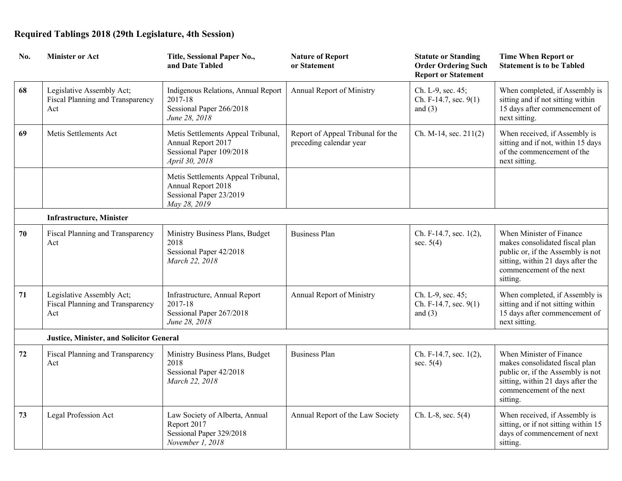| No. | <b>Minister or Act</b>                                               | Title, Sessional Paper No.,<br>and Date Tabled                                                         | <b>Nature of Report</b><br>or Statement                      | <b>Statute or Standing</b><br><b>Order Ordering Such</b><br><b>Report or Statement</b> | <b>Time When Report or</b><br><b>Statement is to be Tabled</b>                                                                                                               |
|-----|----------------------------------------------------------------------|--------------------------------------------------------------------------------------------------------|--------------------------------------------------------------|----------------------------------------------------------------------------------------|------------------------------------------------------------------------------------------------------------------------------------------------------------------------------|
| 68  | Legislative Assembly Act;<br>Fiscal Planning and Transparency<br>Act | Indigenous Relations, Annual Report<br>2017-18<br>Sessional Paper 266/2018<br>June 28, 2018            | Annual Report of Ministry                                    | Ch. L-9, sec. 45;<br>Ch. F-14.7, sec. 9(1)<br>and $(3)$                                | When completed, if Assembly is<br>sitting and if not sitting within<br>15 days after commencement of<br>next sitting.                                                        |
| 69  | Metis Settlements Act                                                | Metis Settlements Appeal Tribunal,<br>Annual Report 2017<br>Sessional Paper 109/2018<br>April 30, 2018 | Report of Appeal Tribunal for the<br>preceding calendar year | Ch. M-14, sec. 211(2)                                                                  | When received, if Assembly is<br>sitting and if not, within 15 days<br>of the commencement of the<br>next sitting.                                                           |
|     |                                                                      | Metis Settlements Appeal Tribunal,<br>Annual Report 2018<br>Sessional Paper 23/2019<br>May 28, 2019    |                                                              |                                                                                        |                                                                                                                                                                              |
|     | <b>Infrastructure, Minister</b>                                      |                                                                                                        |                                                              |                                                                                        |                                                                                                                                                                              |
| 70  | Fiscal Planning and Transparency<br>Act                              | Ministry Business Plans, Budget<br>2018<br>Sessional Paper 42/2018<br>March 22, 2018                   | <b>Business Plan</b>                                         | Ch. F-14.7, sec. 1(2),<br>sec. $5(4)$                                                  | When Minister of Finance<br>makes consolidated fiscal plan<br>public or, if the Assembly is not<br>sitting, within 21 days after the<br>commencement of the next<br>sitting. |
| 71  | Legislative Assembly Act;<br>Fiscal Planning and Transparency<br>Act | Infrastructure, Annual Report<br>2017-18<br>Sessional Paper 267/2018<br>June 28, 2018                  | Annual Report of Ministry                                    | Ch. L-9, sec. 45;<br>Ch. F-14.7, sec. 9(1)<br>and $(3)$                                | When completed, if Assembly is<br>sitting and if not sitting within<br>15 days after commencement of<br>next sitting.                                                        |
|     | <b>Justice, Minister, and Solicitor General</b>                      |                                                                                                        |                                                              |                                                                                        |                                                                                                                                                                              |
| 72  | Fiscal Planning and Transparency<br>Act                              | Ministry Business Plans, Budget<br>2018<br>Sessional Paper 42/2018<br>March 22, 2018                   | <b>Business Plan</b>                                         | Ch. F-14.7, sec. 1(2),<br>sec. $5(4)$                                                  | When Minister of Finance<br>makes consolidated fiscal plan<br>public or, if the Assembly is not<br>sitting, within 21 days after the<br>commencement of the next<br>sitting. |
| 73  | Legal Profession Act                                                 | Law Society of Alberta, Annual<br>Report 2017<br>Sessional Paper 329/2018<br>November 1, 2018          | Annual Report of the Law Society                             | Ch. L-8, sec. 5(4)                                                                     | When received, if Assembly is<br>sitting, or if not sitting within 15<br>days of commencement of next<br>sitting.                                                            |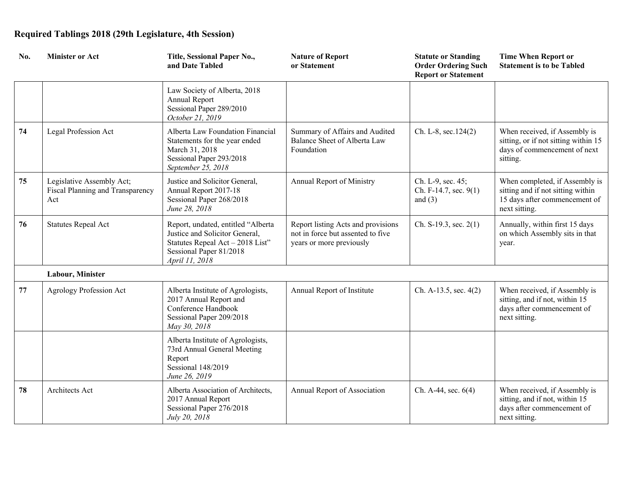| No.    | <b>Minister or Act</b>                                               | Title, Sessional Paper No.,<br>and Date Tabled                                                                                                        | <b>Nature of Report</b><br>or Statement                                                             | <b>Statute or Standing</b><br><b>Order Ordering Such</b><br><b>Report or Statement</b> | <b>Time When Report or</b><br><b>Statement is to be Tabled</b>                                                        |
|--------|----------------------------------------------------------------------|-------------------------------------------------------------------------------------------------------------------------------------------------------|-----------------------------------------------------------------------------------------------------|----------------------------------------------------------------------------------------|-----------------------------------------------------------------------------------------------------------------------|
|        |                                                                      | Law Society of Alberta, 2018<br>Annual Report<br>Sessional Paper 289/2010<br>October 21, 2019                                                         |                                                                                                     |                                                                                        |                                                                                                                       |
| 74     | Legal Profession Act                                                 | Alberta Law Foundation Financial<br>Statements for the year ended<br>March 31, 2018<br>Sessional Paper 293/2018<br>September 25, 2018                 | Summary of Affairs and Audited<br>Balance Sheet of Alberta Law<br>Foundation                        | Ch. L-8, sec.124(2)                                                                    | When received, if Assembly is<br>sitting, or if not sitting within 15<br>days of commencement of next<br>sitting.     |
| 75     | Legislative Assembly Act;<br>Fiscal Planning and Transparency<br>Act | Justice and Solicitor General,<br>Annual Report 2017-18<br>Sessional Paper 268/2018<br>June 28, 2018                                                  | Annual Report of Ministry                                                                           | Ch. L-9, sec. 45;<br>Ch. F-14.7, sec. 9(1)<br>and $(3)$                                | When completed, if Assembly is<br>sitting and if not sitting within<br>15 days after commencement of<br>next sitting. |
| 76     | <b>Statutes Repeal Act</b>                                           | Report, undated, entitled "Alberta<br>Justice and Solicitor General,<br>Statutes Repeal Act - 2018 List"<br>Sessional Paper 81/2018<br>April 11, 2018 | Report listing Acts and provisions<br>not in force but assented to five<br>years or more previously | Ch. S-19.3, sec. 2(1)                                                                  | Annually, within first 15 days<br>on which Assembly sits in that<br>year.                                             |
|        | Labour, Minister                                                     |                                                                                                                                                       |                                                                                                     |                                                                                        |                                                                                                                       |
| $77\,$ | <b>Agrology Profession Act</b>                                       | Alberta Institute of Agrologists,<br>2017 Annual Report and<br>Conference Handbook<br>Sessional Paper 209/2018<br>May 30, 2018                        | Annual Report of Institute                                                                          | Ch. A-13.5, sec. 4(2)                                                                  | When received, if Assembly is<br>sitting, and if not, within 15<br>days after commencement of<br>next sitting.        |
|        |                                                                      | Alberta Institute of Agrologists,<br>73rd Annual General Meeting<br>Report<br>Sessional 148/2019<br>June 26, 2019                                     |                                                                                                     |                                                                                        |                                                                                                                       |
| 78     | Architects Act                                                       | Alberta Association of Architects,<br>2017 Annual Report<br>Sessional Paper 276/2018<br>July 20, 2018                                                 | Annual Report of Association                                                                        | Ch. A-44, sec. 6(4)                                                                    | When received, if Assembly is<br>sitting, and if not, within 15<br>days after commencement of<br>next sitting.        |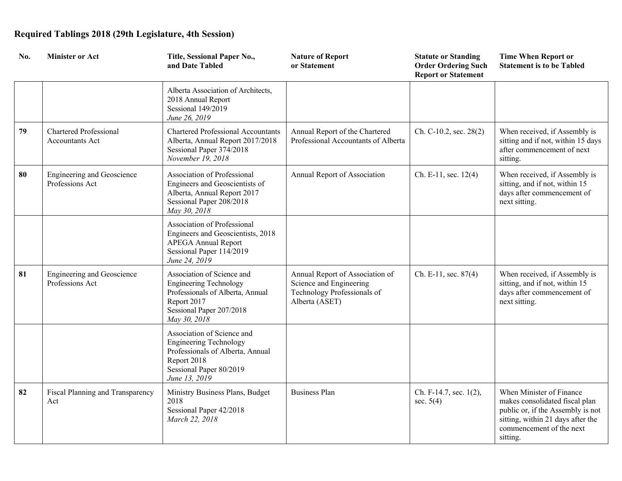| No. | <b>Minister or Act</b>                                  | Title, Sessional Paper No.,<br>and Date Tabled                                                                                                             | <b>Nature of Report</b><br>or Statement                                                                     | <b>Statute or Standing</b><br><b>Order Ordering Such</b><br><b>Report or Statement</b> | <b>Time When Report or</b><br><b>Statement is to be Tabled</b>                                                                                                               |
|-----|---------------------------------------------------------|------------------------------------------------------------------------------------------------------------------------------------------------------------|-------------------------------------------------------------------------------------------------------------|----------------------------------------------------------------------------------------|------------------------------------------------------------------------------------------------------------------------------------------------------------------------------|
|     |                                                         | Alberta Association of Architects,<br>2018 Annual Report<br>Sessional 149/2019<br>June 26, 2019                                                            |                                                                                                             |                                                                                        |                                                                                                                                                                              |
| 79  | <b>Chartered Professional</b><br><b>Accountants Act</b> | <b>Chartered Professional Accountants</b><br>Alberta, Annual Report 2017/2018<br>Sessional Paper 374/2018<br>November 19, 2018                             | Annual Report of the Chartered<br>Professional Accountants of Alberta                                       | Ch. C-10.2, sec. 28(2)                                                                 | When received, if Assembly is<br>sitting and if not, within 15 days<br>after commencement of next<br>sitting.                                                                |
| 80  | <b>Engineering and Geoscience</b><br>Professions Act    | Association of Professional<br>Engineers and Geoscientists of<br>Alberta, Annual Report 2017<br>Sessional Paper 208/2018<br>May 30, 2018                   | Annual Report of Association                                                                                | Ch. E-11, sec. 12(4)                                                                   | When received, if Assembly is<br>sitting, and if not, within 15<br>days after commencement of<br>next sitting.                                                               |
|     |                                                         | Association of Professional<br>Engineers and Geoscientists, 2018<br><b>APEGA Annual Report</b><br>Sessional Paper 114/2019<br>June 24, 2019                |                                                                                                             |                                                                                        |                                                                                                                                                                              |
| 81  | <b>Engineering and Geoscience</b><br>Professions Act    | Association of Science and<br><b>Engineering Technology</b><br>Professionals of Alberta, Annual<br>Report 2017<br>Sessional Paper 207/2018<br>May 30, 2018 | Annual Report of Association of<br>Science and Engineering<br>Technology Professionals of<br>Alberta (ASET) | Ch. E-11, sec. $87(4)$                                                                 | When received, if Assembly is<br>sitting, and if not, within 15<br>days after commencement of<br>next sitting.                                                               |
|     |                                                         | Association of Science and<br><b>Engineering Technology</b><br>Professionals of Alberta, Annual<br>Report 2018<br>Sessional Paper 80/2019<br>June 13, 2019 |                                                                                                             |                                                                                        |                                                                                                                                                                              |
| 82  | Fiscal Planning and Transparency<br>Act                 | Ministry Business Plans, Budget<br>2018<br>Sessional Paper 42/2018<br>March 22, 2018                                                                       | <b>Business Plan</b>                                                                                        | Ch. F-14.7, sec. 1(2),<br>sec. $5(4)$                                                  | When Minister of Finance<br>makes consolidated fiscal plan<br>public or, if the Assembly is not<br>sitting, within 21 days after the<br>commencement of the next<br>sitting. |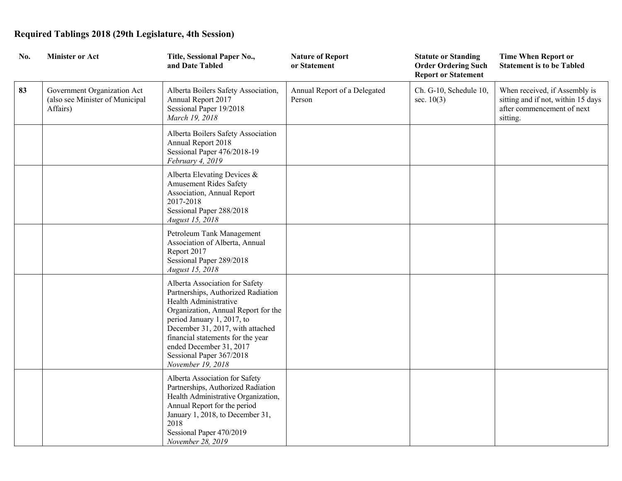| No. | <b>Minister or Act</b>                                                     | Title, Sessional Paper No.,<br>and Date Tabled                                                                                                                                                                                                                                                                          | <b>Nature of Report</b><br>or Statement | <b>Statute or Standing</b><br><b>Order Ordering Such</b><br><b>Report or Statement</b> | <b>Time When Report or</b><br><b>Statement is to be Tabled</b>                                                |
|-----|----------------------------------------------------------------------------|-------------------------------------------------------------------------------------------------------------------------------------------------------------------------------------------------------------------------------------------------------------------------------------------------------------------------|-----------------------------------------|----------------------------------------------------------------------------------------|---------------------------------------------------------------------------------------------------------------|
| 83  | Government Organization Act<br>(also see Minister of Municipal<br>Affairs) | Alberta Boilers Safety Association,<br>Annual Report 2017<br>Sessional Paper 19/2018<br>March 19, 2018                                                                                                                                                                                                                  | Annual Report of a Delegated<br>Person  | Ch. G-10, Schedule 10,<br>sec. $10(3)$                                                 | When received, if Assembly is<br>sitting and if not, within 15 days<br>after commencement of next<br>sitting. |
|     |                                                                            | Alberta Boilers Safety Association<br>Annual Report 2018<br>Sessional Paper 476/2018-19<br>February 4, 2019                                                                                                                                                                                                             |                                         |                                                                                        |                                                                                                               |
|     |                                                                            | Alberta Elevating Devices &<br>Amusement Rides Safety<br>Association, Annual Report<br>2017-2018<br>Sessional Paper 288/2018<br>August 15, 2018                                                                                                                                                                         |                                         |                                                                                        |                                                                                                               |
|     |                                                                            | Petroleum Tank Management<br>Association of Alberta, Annual<br>Report 2017<br>Sessional Paper 289/2018<br>August 15, 2018                                                                                                                                                                                               |                                         |                                                                                        |                                                                                                               |
|     |                                                                            | Alberta Association for Safety<br>Partnerships, Authorized Radiation<br>Health Administrative<br>Organization, Annual Report for the<br>period January 1, 2017, to<br>December 31, 2017, with attached<br>financial statements for the year<br>ended December 31, 2017<br>Sessional Paper 367/2018<br>November 19, 2018 |                                         |                                                                                        |                                                                                                               |
|     |                                                                            | Alberta Association for Safety<br>Partnerships, Authorized Radiation<br>Health Administrative Organization,<br>Annual Report for the period<br>January 1, 2018, to December 31,<br>2018<br>Sessional Paper 470/2019<br>November 28, 2019                                                                                |                                         |                                                                                        |                                                                                                               |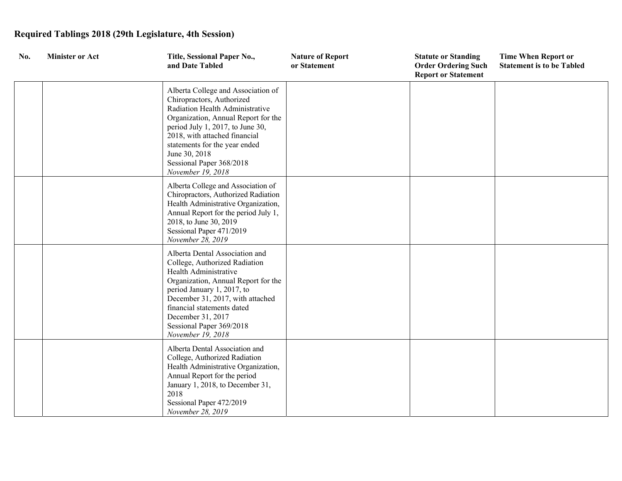| No. | <b>Minister or Act</b> | Title, Sessional Paper No.,<br>and Date Tabled                                                                                                                                                                                                                                                                    | <b>Nature of Report</b><br>or Statement | <b>Statute or Standing</b><br><b>Order Ordering Such</b><br><b>Report or Statement</b> | <b>Time When Report or</b><br><b>Statement is to be Tabled</b> |
|-----|------------------------|-------------------------------------------------------------------------------------------------------------------------------------------------------------------------------------------------------------------------------------------------------------------------------------------------------------------|-----------------------------------------|----------------------------------------------------------------------------------------|----------------------------------------------------------------|
|     |                        | Alberta College and Association of<br>Chiropractors, Authorized<br>Radiation Health Administrative<br>Organization, Annual Report for the<br>period July 1, 2017, to June 30,<br>2018, with attached financial<br>statements for the year ended<br>June 30, 2018<br>Sessional Paper 368/2018<br>November 19, 2018 |                                         |                                                                                        |                                                                |
|     |                        | Alberta College and Association of<br>Chiropractors, Authorized Radiation<br>Health Administrative Organization,<br>Annual Report for the period July 1,<br>2018, to June 30, 2019<br>Sessional Paper 471/2019<br>November 28, 2019                                                                               |                                         |                                                                                        |                                                                |
|     |                        | Alberta Dental Association and<br>College, Authorized Radiation<br>Health Administrative<br>Organization, Annual Report for the<br>period January 1, 2017, to<br>December 31, 2017, with attached<br>financial statements dated<br>December 31, 2017<br>Sessional Paper 369/2018<br>November 19, 2018             |                                         |                                                                                        |                                                                |
|     |                        | Alberta Dental Association and<br>College, Authorized Radiation<br>Health Administrative Organization,<br>Annual Report for the period<br>January 1, 2018, to December 31,<br>2018<br>Sessional Paper 472/2019<br>November 28, 2019                                                                               |                                         |                                                                                        |                                                                |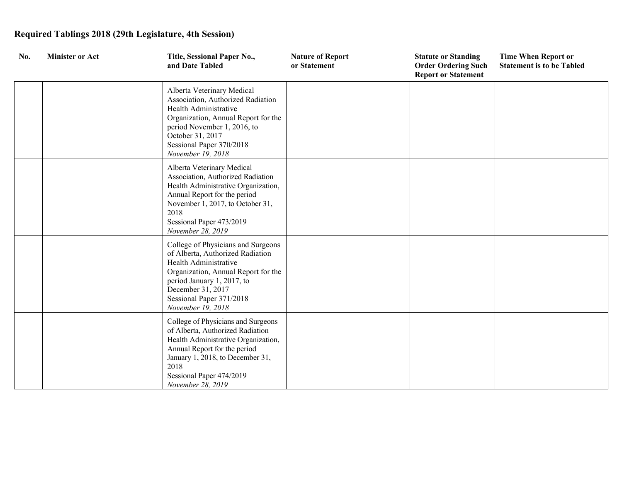| No. | <b>Minister or Act</b> | Title, Sessional Paper No.,<br>and Date Tabled                                                                                                                                                                                             | <b>Nature of Report</b><br>or Statement | <b>Statute or Standing</b><br><b>Order Ordering Such</b><br><b>Report or Statement</b> | <b>Time When Report or</b><br><b>Statement is to be Tabled</b> |
|-----|------------------------|--------------------------------------------------------------------------------------------------------------------------------------------------------------------------------------------------------------------------------------------|-----------------------------------------|----------------------------------------------------------------------------------------|----------------------------------------------------------------|
|     |                        | Alberta Veterinary Medical<br>Association, Authorized Radiation<br>Health Administrative<br>Organization, Annual Report for the<br>period November 1, 2016, to<br>October 31, 2017<br>Sessional Paper 370/2018<br>November 19, 2018        |                                         |                                                                                        |                                                                |
|     |                        | Alberta Veterinary Medical<br>Association, Authorized Radiation<br>Health Administrative Organization,<br>Annual Report for the period<br>November 1, 2017, to October 31,<br>2018<br>Sessional Paper 473/2019<br>November 28, 2019        |                                         |                                                                                        |                                                                |
|     |                        | College of Physicians and Surgeons<br>of Alberta, Authorized Radiation<br>Health Administrative<br>Organization, Annual Report for the<br>period January 1, 2017, to<br>December 31, 2017<br>Sessional Paper 371/2018<br>November 19, 2018 |                                         |                                                                                        |                                                                |
|     |                        | College of Physicians and Surgeons<br>of Alberta, Authorized Radiation<br>Health Administrative Organization,<br>Annual Report for the period<br>January 1, 2018, to December 31,<br>2018<br>Sessional Paper 474/2019<br>November 28, 2019 |                                         |                                                                                        |                                                                |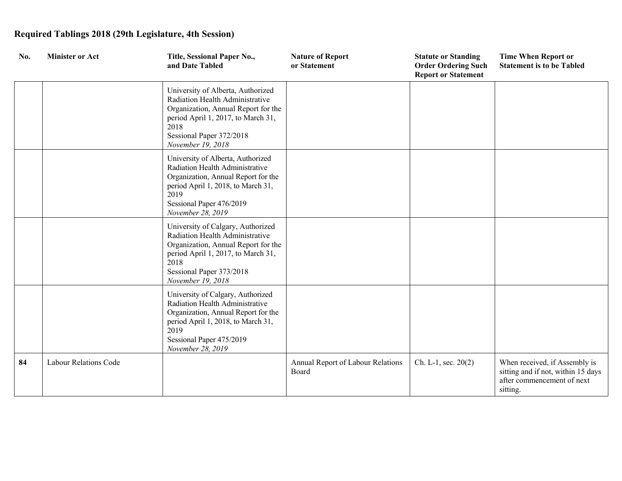| No. | <b>Minister or Act</b> | Title, Sessional Paper No.,<br>and Date Tabled                                                                                                                                                             | <b>Nature of Report</b><br>or Statement    | <b>Statute or Standing</b><br><b>Order Ordering Such</b><br><b>Report or Statement</b> | <b>Time When Report or</b><br><b>Statement is to be Tabled</b>                                                |
|-----|------------------------|------------------------------------------------------------------------------------------------------------------------------------------------------------------------------------------------------------|--------------------------------------------|----------------------------------------------------------------------------------------|---------------------------------------------------------------------------------------------------------------|
|     |                        | University of Alberta, Authorized<br>Radiation Health Administrative<br>Organization, Annual Report for the<br>period April 1, 2017, to March 31,<br>2018<br>Sessional Paper 372/2018<br>November 19, 2018 |                                            |                                                                                        |                                                                                                               |
|     |                        | University of Alberta, Authorized<br>Radiation Health Administrative<br>Organization, Annual Report for the<br>period April 1, 2018, to March 31,<br>2019<br>Sessional Paper 476/2019<br>November 28, 2019 |                                            |                                                                                        |                                                                                                               |
|     |                        | University of Calgary, Authorized<br>Radiation Health Administrative<br>Organization, Annual Report for the<br>period April 1, 2017, to March 31,<br>2018<br>Sessional Paper 373/2018<br>November 19, 2018 |                                            |                                                                                        |                                                                                                               |
|     |                        | University of Calgary, Authorized<br>Radiation Health Administrative<br>Organization, Annual Report for the<br>period April 1, 2018, to March 31,<br>2019<br>Sessional Paper 475/2019<br>November 28, 2019 |                                            |                                                                                        |                                                                                                               |
| 84  | Labour Relations Code  |                                                                                                                                                                                                            | Annual Report of Labour Relations<br>Board | $Ch. L-1, sec. 20(2)$                                                                  | When received, if Assembly is<br>sitting and if not, within 15 days<br>after commencement of next<br>sitting. |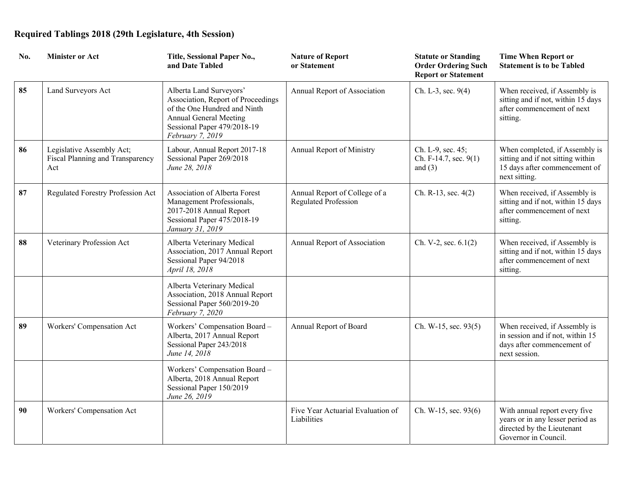| No. | <b>Minister or Act</b>                                               | Title, Sessional Paper No.,<br>and Date Tabled                                                                                                                             | <b>Nature of Report</b><br>or Statement                      | <b>Statute or Standing</b><br><b>Order Ordering Such</b><br><b>Report or Statement</b> | <b>Time When Report or</b><br><b>Statement is to be Tabled</b>                                                          |
|-----|----------------------------------------------------------------------|----------------------------------------------------------------------------------------------------------------------------------------------------------------------------|--------------------------------------------------------------|----------------------------------------------------------------------------------------|-------------------------------------------------------------------------------------------------------------------------|
| 85  | Land Surveyors Act                                                   | Alberta Land Surveyors'<br>Association, Report of Proceedings<br>of the One Hundred and Ninth<br>Annual General Meeting<br>Sessional Paper 479/2018-19<br>February 7, 2019 | Annual Report of Association                                 | Ch. L-3, sec. 9(4)                                                                     | When received, if Assembly is<br>sitting and if not, within 15 days<br>after commencement of next<br>sitting.           |
| 86  | Legislative Assembly Act;<br>Fiscal Planning and Transparency<br>Act | Labour, Annual Report 2017-18<br>Sessional Paper 269/2018<br>June 28, 2018                                                                                                 | Annual Report of Ministry                                    | Ch. L-9, sec. 45;<br>Ch. F-14.7, sec. 9(1)<br>and $(3)$                                | When completed, if Assembly is<br>sitting and if not sitting within<br>15 days after commencement of<br>next sitting.   |
| 87  | Regulated Forestry Profession Act                                    | Association of Alberta Forest<br>Management Professionals,<br>2017-2018 Annual Report<br>Sessional Paper 475/2018-19<br>January 31, 2019                                   | Annual Report of College of a<br><b>Regulated Profession</b> | Ch. R-13, sec. 4(2)                                                                    | When received, if Assembly is<br>sitting and if not, within 15 days<br>after commencement of next<br>sitting.           |
| 88  | Veterinary Profession Act                                            | Alberta Veterinary Medical<br>Association, 2017 Annual Report<br>Sessional Paper 94/2018<br>April 18, 2018                                                                 | Annual Report of Association                                 | Ch. V-2, sec. $6.1(2)$                                                                 | When received, if Assembly is<br>sitting and if not, within 15 days<br>after commencement of next<br>sitting.           |
|     |                                                                      | Alberta Veterinary Medical<br>Association, 2018 Annual Report<br>Sessional Paper 560/2019-20<br>February 7, 2020                                                           |                                                              |                                                                                        |                                                                                                                         |
| 89  | Workers' Compensation Act                                            | Workers' Compensation Board -<br>Alberta, 2017 Annual Report<br>Sessional Paper 243/2018<br>June 14, 2018                                                                  | Annual Report of Board                                       | Ch. W-15, sec. 93(5)                                                                   | When received, if Assembly is<br>in session and if not, within 15<br>days after commencement of<br>next session.        |
|     |                                                                      | Workers' Compensation Board -<br>Alberta, 2018 Annual Report<br>Sessional Paper 150/2019<br>June 26, 2019                                                                  |                                                              |                                                                                        |                                                                                                                         |
| 90  | Workers' Compensation Act                                            |                                                                                                                                                                            | Five Year Actuarial Evaluation of<br>Liabilities             | Ch. W-15, sec. 93(6)                                                                   | With annual report every five<br>years or in any lesser period as<br>directed by the Lieutenant<br>Governor in Council. |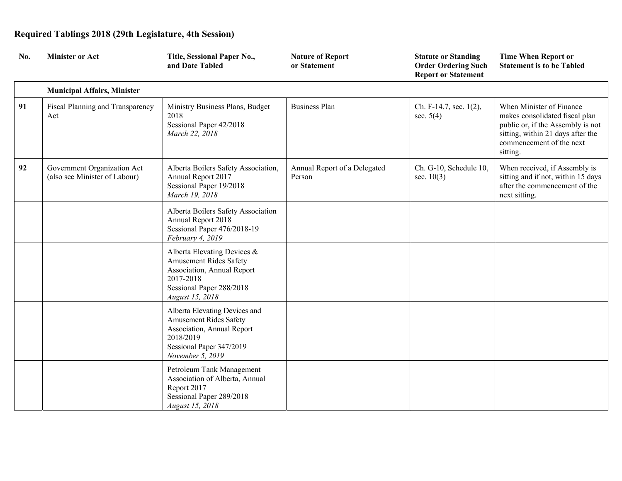| No. | <b>Minister or Act</b>                                       | Title, Sessional Paper No.,<br>and Date Tabled                                                                                                            | <b>Nature of Report</b><br>or Statement | <b>Statute or Standing</b><br><b>Order Ordering Such</b><br><b>Report or Statement</b> | <b>Time When Report or</b><br><b>Statement is to be Tabled</b>                                                                                                               |
|-----|--------------------------------------------------------------|-----------------------------------------------------------------------------------------------------------------------------------------------------------|-----------------------------------------|----------------------------------------------------------------------------------------|------------------------------------------------------------------------------------------------------------------------------------------------------------------------------|
|     | <b>Municipal Affairs, Minister</b>                           |                                                                                                                                                           |                                         |                                                                                        |                                                                                                                                                                              |
| 91  | Fiscal Planning and Transparency<br>Act                      | Ministry Business Plans, Budget<br>2018<br>Sessional Paper 42/2018<br>March 22, 2018                                                                      | <b>Business Plan</b>                    | Ch. F-14.7, sec. 1(2),<br>sec. $5(4)$                                                  | When Minister of Finance<br>makes consolidated fiscal plan<br>public or, if the Assembly is not<br>sitting, within 21 days after the<br>commencement of the next<br>sitting. |
| 92  | Government Organization Act<br>(also see Minister of Labour) | Alberta Boilers Safety Association,<br>Annual Report 2017<br>Sessional Paper 19/2018<br>March 19, 2018                                                    | Annual Report of a Delegated<br>Person  | Ch. G-10, Schedule 10,<br>sec. $10(3)$                                                 | When received, if Assembly is<br>sitting and if not, within 15 days<br>after the commencement of the<br>next sitting.                                                        |
|     |                                                              | Alberta Boilers Safety Association<br>Annual Report 2018<br>Sessional Paper 476/2018-19<br>February 4, 2019                                               |                                         |                                                                                        |                                                                                                                                                                              |
|     |                                                              | Alberta Elevating Devices &<br><b>Amusement Rides Safety</b><br>Association, Annual Report<br>2017-2018<br>Sessional Paper 288/2018<br>August 15, 2018    |                                         |                                                                                        |                                                                                                                                                                              |
|     |                                                              | Alberta Elevating Devices and<br><b>Amusement Rides Safety</b><br>Association, Annual Report<br>2018/2019<br>Sessional Paper 347/2019<br>November 5, 2019 |                                         |                                                                                        |                                                                                                                                                                              |
|     |                                                              | Petroleum Tank Management<br>Association of Alberta, Annual<br>Report 2017<br>Sessional Paper 289/2018<br>August 15, 2018                                 |                                         |                                                                                        |                                                                                                                                                                              |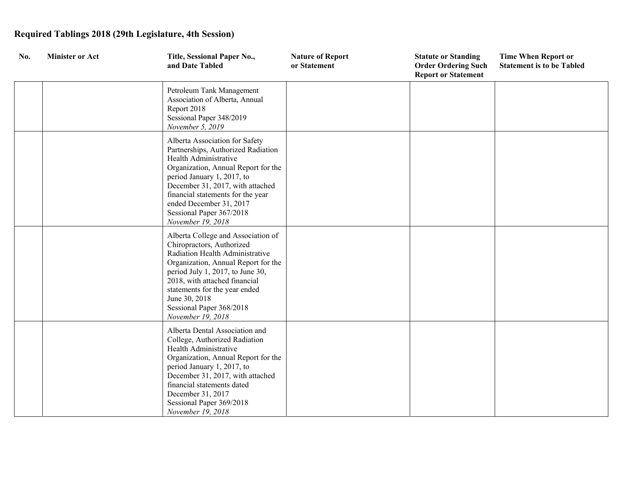| No. | <b>Minister or Act</b> | Title, Sessional Paper No.,<br>and Date Tabled                                                                                                                                                                                                                                                                          | <b>Nature of Report</b><br>or Statement | <b>Statute or Standing</b><br><b>Order Ordering Such</b><br><b>Report or Statement</b> | <b>Time When Report or</b><br><b>Statement is to be Tabled</b> |
|-----|------------------------|-------------------------------------------------------------------------------------------------------------------------------------------------------------------------------------------------------------------------------------------------------------------------------------------------------------------------|-----------------------------------------|----------------------------------------------------------------------------------------|----------------------------------------------------------------|
|     |                        | Petroleum Tank Management<br>Association of Alberta, Annual<br>Report 2018<br>Sessional Paper 348/2019<br>November 5, 2019                                                                                                                                                                                              |                                         |                                                                                        |                                                                |
|     |                        | Alberta Association for Safety<br>Partnerships, Authorized Radiation<br>Health Administrative<br>Organization, Annual Report for the<br>period January 1, 2017, to<br>December 31, 2017, with attached<br>financial statements for the year<br>ended December 31, 2017<br>Sessional Paper 367/2018<br>November 19, 2018 |                                         |                                                                                        |                                                                |
|     |                        | Alberta College and Association of<br>Chiropractors, Authorized<br>Radiation Health Administrative<br>Organization, Annual Report for the<br>period July 1, 2017, to June 30,<br>2018, with attached financial<br>statements for the year ended<br>June 30, 2018<br>Sessional Paper 368/2018<br>November 19, 2018       |                                         |                                                                                        |                                                                |
|     |                        | Alberta Dental Association and<br>College, Authorized Radiation<br>Health Administrative<br>Organization, Annual Report for the<br>period January 1, 2017, to<br>December 31, 2017, with attached<br>financial statements dated<br>December 31, 2017<br>Sessional Paper 369/2018<br>November 19, 2018                   |                                         |                                                                                        |                                                                |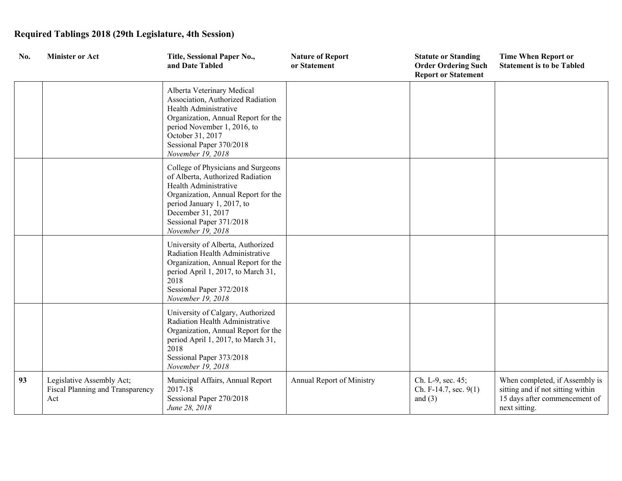| No. | <b>Minister or Act</b>                                               | Title, Sessional Paper No.,<br>and Date Tabled                                                                                                                                                                                             | <b>Nature of Report</b><br>or Statement | <b>Statute or Standing</b><br><b>Order Ordering Such</b><br><b>Report or Statement</b> | <b>Time When Report or</b><br><b>Statement is to be Tabled</b>                                                        |
|-----|----------------------------------------------------------------------|--------------------------------------------------------------------------------------------------------------------------------------------------------------------------------------------------------------------------------------------|-----------------------------------------|----------------------------------------------------------------------------------------|-----------------------------------------------------------------------------------------------------------------------|
|     |                                                                      | Alberta Veterinary Medical<br>Association, Authorized Radiation<br>Health Administrative<br>Organization, Annual Report for the<br>period November 1, 2016, to<br>October 31, 2017<br>Sessional Paper 370/2018<br>November 19, 2018        |                                         |                                                                                        |                                                                                                                       |
|     |                                                                      | College of Physicians and Surgeons<br>of Alberta, Authorized Radiation<br>Health Administrative<br>Organization, Annual Report for the<br>period January 1, 2017, to<br>December 31, 2017<br>Sessional Paper 371/2018<br>November 19, 2018 |                                         |                                                                                        |                                                                                                                       |
|     |                                                                      | University of Alberta, Authorized<br>Radiation Health Administrative<br>Organization, Annual Report for the<br>period April 1, 2017, to March 31,<br>2018<br>Sessional Paper 372/2018<br>November 19, 2018                                 |                                         |                                                                                        |                                                                                                                       |
|     |                                                                      | University of Calgary, Authorized<br>Radiation Health Administrative<br>Organization, Annual Report for the<br>period April 1, 2017, to March 31,<br>2018<br>Sessional Paper 373/2018<br>November 19, 2018                                 |                                         |                                                                                        |                                                                                                                       |
| 93  | Legislative Assembly Act;<br>Fiscal Planning and Transparency<br>Act | Municipal Affairs, Annual Report<br>2017-18<br>Sessional Paper 270/2018<br>June 28, 2018                                                                                                                                                   | Annual Report of Ministry               | Ch. L-9, sec. 45;<br>Ch. F-14.7, sec. 9(1)<br>and $(3)$                                | When completed, if Assembly is<br>sitting and if not sitting within<br>15 days after commencement of<br>next sitting. |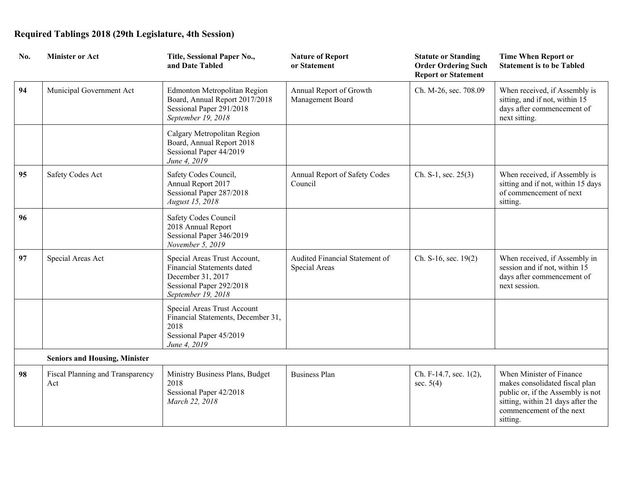| No. | <b>Minister or Act</b>                  | Title, Sessional Paper No.,<br>and Date Tabled                                                                                    | <b>Nature of Report</b><br>or Statement         | <b>Statute or Standing</b><br><b>Order Ordering Such</b><br><b>Report or Statement</b> | <b>Time When Report or</b><br><b>Statement is to be Tabled</b>                                                                                                               |
|-----|-----------------------------------------|-----------------------------------------------------------------------------------------------------------------------------------|-------------------------------------------------|----------------------------------------------------------------------------------------|------------------------------------------------------------------------------------------------------------------------------------------------------------------------------|
| 94  | Municipal Government Act                | <b>Edmonton Metropolitan Region</b><br>Board, Annual Report 2017/2018<br>Sessional Paper 291/2018<br>September 19, 2018           | Annual Report of Growth<br>Management Board     | Ch. M-26, sec. 708.09                                                                  | When received, if Assembly is<br>sitting, and if not, within 15<br>days after commencement of<br>next sitting.                                                               |
|     |                                         | Calgary Metropolitan Region<br>Board, Annual Report 2018<br>Sessional Paper 44/2019<br>June 4, 2019                               |                                                 |                                                                                        |                                                                                                                                                                              |
| 95  | Safety Codes Act                        | Safety Codes Council,<br>Annual Report 2017<br>Sessional Paper 287/2018<br>August 15, 2018                                        | Annual Report of Safety Codes<br>Council        | Ch. S-1, sec. $25(3)$                                                                  | When received, if Assembly is<br>sitting and if not, within 15 days<br>of commencement of next<br>sitting.                                                                   |
| 96  |                                         | Safety Codes Council<br>2018 Annual Report<br>Sessional Paper 346/2019<br>November 5, 2019                                        |                                                 |                                                                                        |                                                                                                                                                                              |
| 97  | Special Areas Act                       | Special Areas Trust Account,<br>Financial Statements dated<br>December 31, 2017<br>Sessional Paper 292/2018<br>September 19, 2018 | Audited Financial Statement of<br>Special Areas | Ch. S-16, sec. 19(2)                                                                   | When received, if Assembly in<br>session and if not, within 15<br>days after commencement of<br>next session.                                                                |
|     |                                         | Special Areas Trust Account<br>Financial Statements, December 31,<br>2018<br>Sessional Paper 45/2019<br>June 4, 2019              |                                                 |                                                                                        |                                                                                                                                                                              |
|     | <b>Seniors and Housing, Minister</b>    |                                                                                                                                   |                                                 |                                                                                        |                                                                                                                                                                              |
| 98  | Fiscal Planning and Transparency<br>Act | Ministry Business Plans, Budget<br>2018<br>Sessional Paper 42/2018<br>March 22, 2018                                              | <b>Business Plan</b>                            | Ch. F-14.7, sec. 1(2),<br>sec. $5(4)$                                                  | When Minister of Finance<br>makes consolidated fiscal plan<br>public or, if the Assembly is not<br>sitting, within 21 days after the<br>commencement of the next<br>sitting. |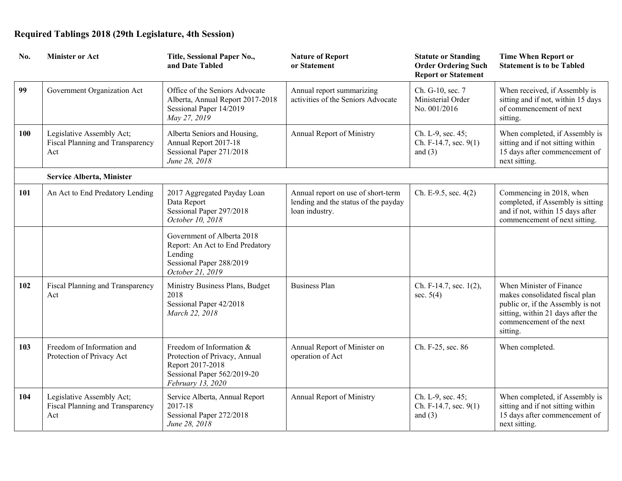| No. | <b>Minister or Act</b>                                               | Title, Sessional Paper No.,<br>and Date Tabled                                                                                    | <b>Nature of Report</b><br>or Statement                                                      | <b>Statute or Standing</b><br><b>Order Ordering Such</b><br><b>Report or Statement</b> | <b>Time When Report or</b><br><b>Statement is to be Tabled</b>                                                                                                               |
|-----|----------------------------------------------------------------------|-----------------------------------------------------------------------------------------------------------------------------------|----------------------------------------------------------------------------------------------|----------------------------------------------------------------------------------------|------------------------------------------------------------------------------------------------------------------------------------------------------------------------------|
| 99  | Government Organization Act                                          | Office of the Seniors Advocate<br>Alberta, Annual Report 2017-2018<br>Sessional Paper 14/2019<br>May 27, 2019                     | Annual report summarizing<br>activities of the Seniors Advocate                              | Ch. G-10, sec. 7<br>Ministerial Order<br>No. 001/2016                                  | When received, if Assembly is<br>sitting and if not, within 15 days<br>of commencement of next<br>sitting.                                                                   |
| 100 | Legislative Assembly Act;<br>Fiscal Planning and Transparency<br>Act | Alberta Seniors and Housing,<br>Annual Report 2017-18<br>Sessional Paper 271/2018<br>June 28, 2018                                | Annual Report of Ministry                                                                    | Ch. L-9, sec. 45;<br>Ch. F-14.7, sec. $9(1)$<br>and $(3)$                              | When completed, if Assembly is<br>sitting and if not sitting within<br>15 days after commencement of<br>next sitting.                                                        |
|     | <b>Service Alberta, Minister</b>                                     |                                                                                                                                   |                                                                                              |                                                                                        |                                                                                                                                                                              |
| 101 | An Act to End Predatory Lending                                      | 2017 Aggregated Payday Loan<br>Data Report<br>Sessional Paper 297/2018<br>October 10, 2018                                        | Annual report on use of short-term<br>lending and the status of the payday<br>loan industry. | Ch. E-9.5, sec. 4(2)                                                                   | Commencing in 2018, when<br>completed, if Assembly is sitting<br>and if not, within 15 days after<br>commencement of next sitting.                                           |
|     |                                                                      | Government of Alberta 2018<br>Report: An Act to End Predatory<br>Lending<br>Sessional Paper 288/2019<br>October 21, 2019          |                                                                                              |                                                                                        |                                                                                                                                                                              |
| 102 | Fiscal Planning and Transparency<br>Act                              | Ministry Business Plans, Budget<br>2018<br>Sessional Paper 42/2018<br>March 22, 2018                                              | <b>Business Plan</b>                                                                         | Ch. F-14.7, sec. 1(2),<br>sec. $5(4)$                                                  | When Minister of Finance<br>makes consolidated fiscal plan<br>public or, if the Assembly is not<br>sitting, within 21 days after the<br>commencement of the next<br>sitting. |
| 103 | Freedom of Information and<br>Protection of Privacy Act              | Freedom of Information &<br>Protection of Privacy, Annual<br>Report 2017-2018<br>Sessional Paper 562/2019-20<br>February 13, 2020 | Annual Report of Minister on<br>operation of Act                                             | Ch. F-25, sec. 86                                                                      | When completed.                                                                                                                                                              |
| 104 | Legislative Assembly Act;<br>Fiscal Planning and Transparency<br>Act | Service Alberta, Annual Report<br>2017-18<br>Sessional Paper 272/2018<br>June 28, 2018                                            | Annual Report of Ministry                                                                    | Ch. L-9, sec. 45;<br>Ch. F-14.7, sec. 9(1)<br>and $(3)$                                | When completed, if Assembly is<br>sitting and if not sitting within<br>15 days after commencement of<br>next sitting.                                                        |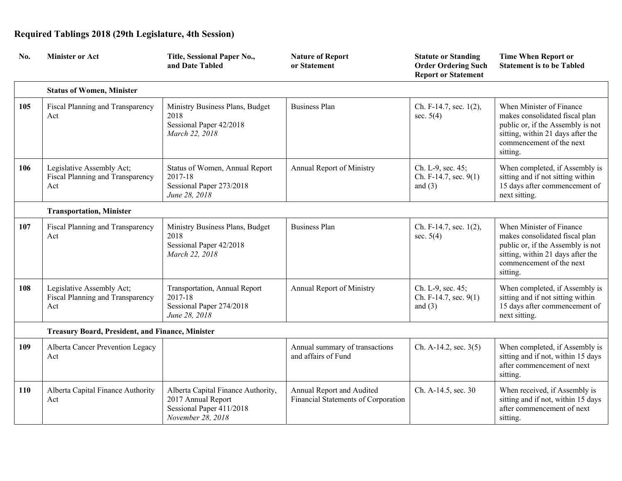| No. | <b>Minister or Act</b>                                               | Title, Sessional Paper No.,<br>and Date Tabled                                                            | <b>Nature of Report</b><br>or Statement                          | <b>Statute or Standing</b><br><b>Order Ordering Such</b><br><b>Report or Statement</b> | <b>Time When Report or</b><br><b>Statement is to be Tabled</b>                                                                                                               |
|-----|----------------------------------------------------------------------|-----------------------------------------------------------------------------------------------------------|------------------------------------------------------------------|----------------------------------------------------------------------------------------|------------------------------------------------------------------------------------------------------------------------------------------------------------------------------|
|     | <b>Status of Women, Minister</b>                                     |                                                                                                           |                                                                  |                                                                                        |                                                                                                                                                                              |
| 105 | Fiscal Planning and Transparency<br>Act                              | Ministry Business Plans, Budget<br>2018<br>Sessional Paper 42/2018<br>March 22, 2018                      | <b>Business Plan</b>                                             | Ch. F-14.7, sec. 1(2),<br>sec. $5(4)$                                                  | When Minister of Finance<br>makes consolidated fiscal plan<br>public or, if the Assembly is not<br>sitting, within 21 days after the<br>commencement of the next<br>sitting. |
| 106 | Legislative Assembly Act;<br>Fiscal Planning and Transparency<br>Act | Status of Women, Annual Report<br>2017-18<br>Sessional Paper 273/2018<br>June 28, 2018                    | Annual Report of Ministry                                        | Ch. L-9, sec. 45;<br>Ch. F-14.7, sec. 9(1)<br>and $(3)$                                | When completed, if Assembly is<br>sitting and if not sitting within<br>15 days after commencement of<br>next sitting.                                                        |
|     | <b>Transportation, Minister</b>                                      |                                                                                                           |                                                                  |                                                                                        |                                                                                                                                                                              |
| 107 | Fiscal Planning and Transparency<br>Act                              | Ministry Business Plans, Budget<br>2018<br>Sessional Paper 42/2018<br>March 22, 2018                      | <b>Business Plan</b>                                             | Ch. F-14.7, sec. $1(2)$ ,<br>sec. $5(4)$                                               | When Minister of Finance<br>makes consolidated fiscal plan<br>public or, if the Assembly is not<br>sitting, within 21 days after the<br>commencement of the next<br>sitting. |
| 108 | Legislative Assembly Act;<br>Fiscal Planning and Transparency<br>Act | Transportation, Annual Report<br>2017-18<br>Sessional Paper 274/2018<br>June 28, 2018                     | Annual Report of Ministry                                        | Ch. L-9, sec. 45;<br>Ch. F-14.7, sec. 9(1)<br>and $(3)$                                | When completed, if Assembly is<br>sitting and if not sitting within<br>15 days after commencement of<br>next sitting.                                                        |
|     | <b>Treasury Board, President, and Finance, Minister</b>              |                                                                                                           |                                                                  |                                                                                        |                                                                                                                                                                              |
| 109 | Alberta Cancer Prevention Legacy<br>Act                              |                                                                                                           | Annual summary of transactions<br>and affairs of Fund            | Ch. A-14.2, sec. $3(5)$                                                                | When completed, if Assembly is<br>sitting and if not, within 15 days<br>after commencement of next<br>sitting.                                                               |
| 110 | Alberta Capital Finance Authority<br>Act                             | Alberta Capital Finance Authority,<br>2017 Annual Report<br>Sessional Paper 411/2018<br>November 28, 2018 | Annual Report and Audited<br>Financial Statements of Corporation | Ch. A-14.5, sec. 30                                                                    | When received, if Assembly is<br>sitting and if not, within 15 days<br>after commencement of next<br>sitting.                                                                |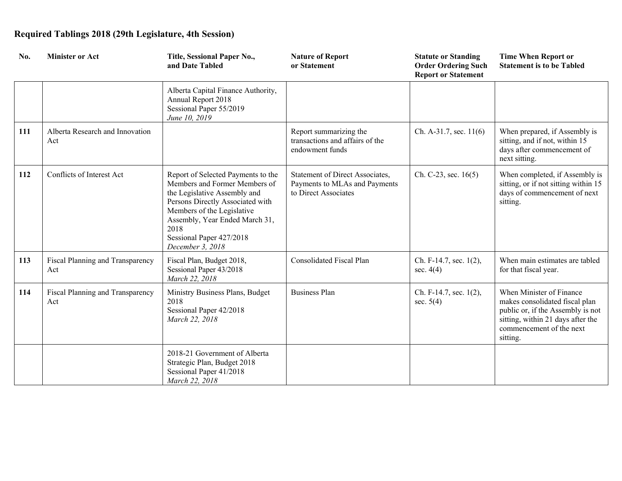| No. | <b>Minister or Act</b>                  | Title, Sessional Paper No.,<br>and Date Tabled                                                                                                                                                                                                                  | <b>Nature of Report</b><br>or Statement                                                  | <b>Statute or Standing</b><br><b>Order Ordering Such</b><br><b>Report or Statement</b> | <b>Time When Report or</b><br><b>Statement is to be Tabled</b>                                                                                                               |
|-----|-----------------------------------------|-----------------------------------------------------------------------------------------------------------------------------------------------------------------------------------------------------------------------------------------------------------------|------------------------------------------------------------------------------------------|----------------------------------------------------------------------------------------|------------------------------------------------------------------------------------------------------------------------------------------------------------------------------|
|     |                                         | Alberta Capital Finance Authority,<br>Annual Report 2018<br>Sessional Paper 55/2019<br>June 10, 2019                                                                                                                                                            |                                                                                          |                                                                                        |                                                                                                                                                                              |
| 111 | Alberta Research and Innovation<br>Act  |                                                                                                                                                                                                                                                                 | Report summarizing the<br>transactions and affairs of the<br>endowment funds             | Ch. A-31.7, sec. 11(6)                                                                 | When prepared, if Assembly is<br>sitting, and if not, within 15<br>days after commencement of<br>next sitting.                                                               |
| 112 | Conflicts of Interest Act               | Report of Selected Payments to the<br>Members and Former Members of<br>the Legislative Assembly and<br>Persons Directly Associated with<br>Members of the Legislative<br>Assembly, Year Ended March 31,<br>2018<br>Sessional Paper 427/2018<br>December 3, 2018 | Statement of Direct Associates,<br>Payments to MLAs and Payments<br>to Direct Associates | Ch. C-23, sec. $16(5)$                                                                 | When completed, if Assembly is<br>sitting, or if not sitting within 15<br>days of commencement of next<br>sitting.                                                           |
| 113 | Fiscal Planning and Transparency<br>Act | Fiscal Plan, Budget 2018,<br>Sessional Paper 43/2018<br>March 22, 2018                                                                                                                                                                                          | Consolidated Fiscal Plan                                                                 | Ch. F-14.7, sec. $1(2)$ ,<br>sec. $4(4)$                                               | When main estimates are tabled<br>for that fiscal year.                                                                                                                      |
| 114 | Fiscal Planning and Transparency<br>Act | Ministry Business Plans, Budget<br>2018<br>Sessional Paper 42/2018<br>March 22, 2018                                                                                                                                                                            | <b>Business Plan</b>                                                                     | Ch. F-14.7, sec. $1(2)$ ,<br>sec. $5(4)$                                               | When Minister of Finance<br>makes consolidated fiscal plan<br>public or, if the Assembly is not<br>sitting, within 21 days after the<br>commencement of the next<br>sitting. |
|     |                                         | 2018-21 Government of Alberta<br>Strategic Plan, Budget 2018<br>Sessional Paper 41/2018<br>March 22, 2018                                                                                                                                                       |                                                                                          |                                                                                        |                                                                                                                                                                              |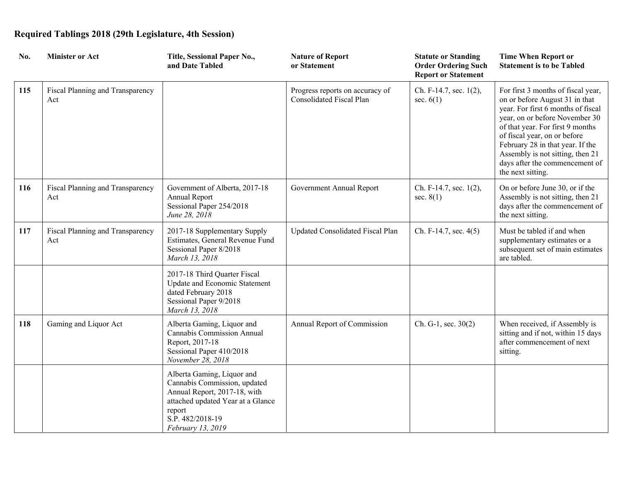| No. | <b>Minister or Act</b>                  | Title, Sessional Paper No.,<br>and Date Tabled                                                                                                                                     | <b>Nature of Report</b><br>or Statement                     | <b>Statute or Standing</b><br><b>Order Ordering Such</b><br><b>Report or Statement</b> | <b>Time When Report or</b><br><b>Statement is to be Tabled</b>                                                                                                                                                                                                                                                                                  |
|-----|-----------------------------------------|------------------------------------------------------------------------------------------------------------------------------------------------------------------------------------|-------------------------------------------------------------|----------------------------------------------------------------------------------------|-------------------------------------------------------------------------------------------------------------------------------------------------------------------------------------------------------------------------------------------------------------------------------------------------------------------------------------------------|
| 115 | Fiscal Planning and Transparency<br>Act |                                                                                                                                                                                    | Progress reports on accuracy of<br>Consolidated Fiscal Plan | Ch. F-14.7, sec. 1(2),<br>sec. $6(1)$                                                  | For first 3 months of fiscal year,<br>on or before August 31 in that<br>year. For first 6 months of fiscal<br>year, on or before November 30<br>of that year. For first 9 months<br>of fiscal year, on or before<br>February 28 in that year. If the<br>Assembly is not sitting, then 21<br>days after the commencement of<br>the next sitting. |
| 116 | Fiscal Planning and Transparency<br>Act | Government of Alberta, 2017-18<br>Annual Report<br>Sessional Paper 254/2018<br>June 28, 2018                                                                                       | Government Annual Report                                    | Ch. F-14.7, sec. 1(2),<br>sec. $8(1)$                                                  | On or before June 30, or if the<br>Assembly is not sitting, then 21<br>days after the commencement of<br>the next sitting.                                                                                                                                                                                                                      |
| 117 | Fiscal Planning and Transparency<br>Act | 2017-18 Supplementary Supply<br>Estimates, General Revenue Fund<br>Sessional Paper 8/2018<br>March 13, 2018                                                                        | Updated Consolidated Fiscal Plan                            | Ch. F-14.7, sec. 4(5)                                                                  | Must be tabled if and when<br>supplementary estimates or a<br>subsequent set of main estimates<br>are tabled.                                                                                                                                                                                                                                   |
|     |                                         | 2017-18 Third Quarter Fiscal<br>Update and Economic Statement<br>dated February 2018<br>Sessional Paper 9/2018<br>March 13, 2018                                                   |                                                             |                                                                                        |                                                                                                                                                                                                                                                                                                                                                 |
| 118 | Gaming and Liquor Act                   | Alberta Gaming, Liquor and<br>Cannabis Commission Annual<br>Report, 2017-18<br>Sessional Paper 410/2018<br>November 28, 2018                                                       | Annual Report of Commission                                 | $Ch. G-1, sec. 30(2)$                                                                  | When received, if Assembly is<br>sitting and if not, within 15 days<br>after commencement of next<br>sitting.                                                                                                                                                                                                                                   |
|     |                                         | Alberta Gaming, Liquor and<br>Cannabis Commission, updated<br>Annual Report, 2017-18, with<br>attached updated Year at a Glance<br>report<br>S.P. 482/2018-19<br>February 13, 2019 |                                                             |                                                                                        |                                                                                                                                                                                                                                                                                                                                                 |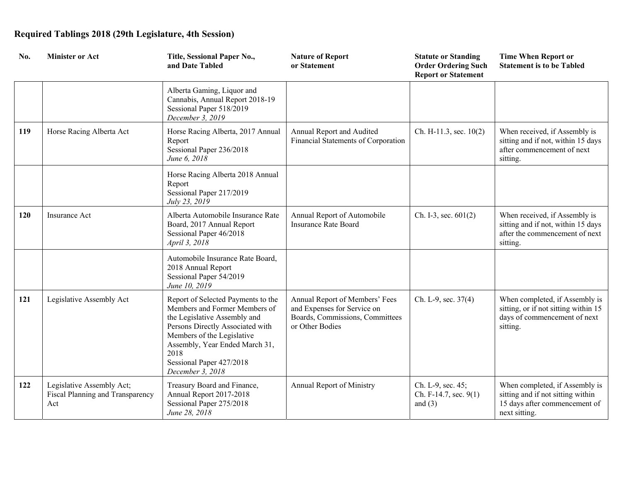| No. | <b>Minister or Act</b>                                               | Title, Sessional Paper No.,<br>and Date Tabled                                                                                                                                                                                                                  | <b>Nature of Report</b><br>or Statement                                                                             | <b>Statute or Standing</b><br><b>Order Ordering Such</b><br><b>Report or Statement</b> | <b>Time When Report or</b><br><b>Statement is to be Tabled</b>                                                        |
|-----|----------------------------------------------------------------------|-----------------------------------------------------------------------------------------------------------------------------------------------------------------------------------------------------------------------------------------------------------------|---------------------------------------------------------------------------------------------------------------------|----------------------------------------------------------------------------------------|-----------------------------------------------------------------------------------------------------------------------|
|     |                                                                      | Alberta Gaming, Liquor and<br>Cannabis, Annual Report 2018-19<br>Sessional Paper 518/2019<br>December 3, 2019                                                                                                                                                   |                                                                                                                     |                                                                                        |                                                                                                                       |
| 119 | Horse Racing Alberta Act                                             | Horse Racing Alberta, 2017 Annual<br>Report<br>Sessional Paper 236/2018<br>June 6, 2018                                                                                                                                                                         | Annual Report and Audited<br>Financial Statements of Corporation                                                    | Ch. H-11.3, sec. $10(2)$                                                               | When received, if Assembly is<br>sitting and if not, within 15 days<br>after commencement of next<br>sitting.         |
|     |                                                                      | Horse Racing Alberta 2018 Annual<br>Report<br>Sessional Paper 217/2019<br>July 23, 2019                                                                                                                                                                         |                                                                                                                     |                                                                                        |                                                                                                                       |
| 120 | Insurance Act                                                        | Alberta Automobile Insurance Rate<br>Board, 2017 Annual Report<br>Sessional Paper 46/2018<br>April 3, 2018                                                                                                                                                      | Annual Report of Automobile<br><b>Insurance Rate Board</b>                                                          | Ch. I-3, sec. $601(2)$                                                                 | When received, if Assembly is<br>sitting and if not, within 15 days<br>after the commencement of next<br>sitting.     |
|     |                                                                      | Automobile Insurance Rate Board,<br>2018 Annual Report<br>Sessional Paper 54/2019<br>June 10, 2019                                                                                                                                                              |                                                                                                                     |                                                                                        |                                                                                                                       |
| 121 | Legislative Assembly Act                                             | Report of Selected Payments to the<br>Members and Former Members of<br>the Legislative Assembly and<br>Persons Directly Associated with<br>Members of the Legislative<br>Assembly, Year Ended March 31,<br>2018<br>Sessional Paper 427/2018<br>December 3, 2018 | Annual Report of Members' Fees<br>and Expenses for Service on<br>Boards, Commissions, Committees<br>or Other Bodies | Ch. L-9, sec. 37(4)                                                                    | When completed, if Assembly is<br>sitting, or if not sitting within 15<br>days of commencement of next<br>sitting.    |
| 122 | Legislative Assembly Act;<br>Fiscal Planning and Transparency<br>Act | Treasury Board and Finance,<br>Annual Report 2017-2018<br>Sessional Paper 275/2018<br>June 28, 2018                                                                                                                                                             | Annual Report of Ministry                                                                                           | Ch. L-9, sec. 45;<br>Ch. F-14.7, sec. 9(1)<br>and $(3)$                                | When completed, if Assembly is<br>sitting and if not sitting within<br>15 days after commencement of<br>next sitting. |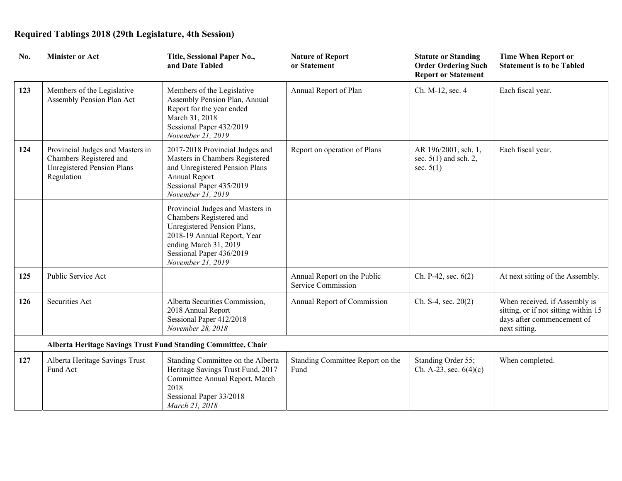| No. | <b>Minister or Act</b>                                                                                         | Title, Sessional Paper No.,<br>and Date Tabled                                                                                                                                                      | <b>Nature of Report</b><br>or Statement           | <b>Statute or Standing</b><br><b>Order Ordering Such</b><br><b>Report or Statement</b> | <b>Time When Report or</b><br><b>Statement is to be Tabled</b>                                                       |
|-----|----------------------------------------------------------------------------------------------------------------|-----------------------------------------------------------------------------------------------------------------------------------------------------------------------------------------------------|---------------------------------------------------|----------------------------------------------------------------------------------------|----------------------------------------------------------------------------------------------------------------------|
| 123 | Members of the Legislative<br>Assembly Pension Plan Act                                                        | Members of the Legislative<br>Assembly Pension Plan, Annual<br>Report for the year ended<br>March 31, 2018<br>Sessional Paper 432/2019<br>November 21, 2019                                         | Annual Report of Plan                             | Ch. M-12, sec. 4                                                                       | Each fiscal year.                                                                                                    |
| 124 | Provincial Judges and Masters in<br>Chambers Registered and<br><b>Unregistered Pension Plans</b><br>Regulation | 2017-2018 Provincial Judges and<br>Masters in Chambers Registered<br>and Unregistered Pension Plans<br>Annual Report<br>Sessional Paper 435/2019<br>November 21, 2019                               | Report on operation of Plans                      | AR 196/2001, sch. 1,<br>sec. $5(1)$ and sch. 2,<br>sec. $5(1)$                         | Each fiscal year.                                                                                                    |
|     |                                                                                                                | Provincial Judges and Masters in<br>Chambers Registered and<br>Unregistered Pension Plans,<br>2018-19 Annual Report, Year<br>ending March 31, 2019<br>Sessional Paper 436/2019<br>November 21, 2019 |                                                   |                                                                                        |                                                                                                                      |
| 125 | Public Service Act                                                                                             |                                                                                                                                                                                                     | Annual Report on the Public<br>Service Commission | Ch. P-42, sec. 6(2)                                                                    | At next sitting of the Assembly.                                                                                     |
| 126 | Securities Act                                                                                                 | Alberta Securities Commission,<br>2018 Annual Report<br>Sessional Paper 412/2018<br>November 28, 2018                                                                                               | Annual Report of Commission                       | Ch. S-4, sec. $20(2)$                                                                  | When received, if Assembly is<br>sitting, or if not sitting within 15<br>days after commencement of<br>next sitting. |
|     | Alberta Heritage Savings Trust Fund Standing Committee, Chair                                                  |                                                                                                                                                                                                     |                                                   |                                                                                        |                                                                                                                      |
| 127 | Alberta Heritage Savings Trust<br>Fund Act                                                                     | Standing Committee on the Alberta<br>Heritage Savings Trust Fund, 2017<br>Committee Annual Report, March<br>2018<br>Sessional Paper 33/2018<br>March 21, 2018                                       | Standing Committee Report on the<br>Fund          | Standing Order 55;<br>Ch. A-23, sec. $6(4)(c)$                                         | When completed.                                                                                                      |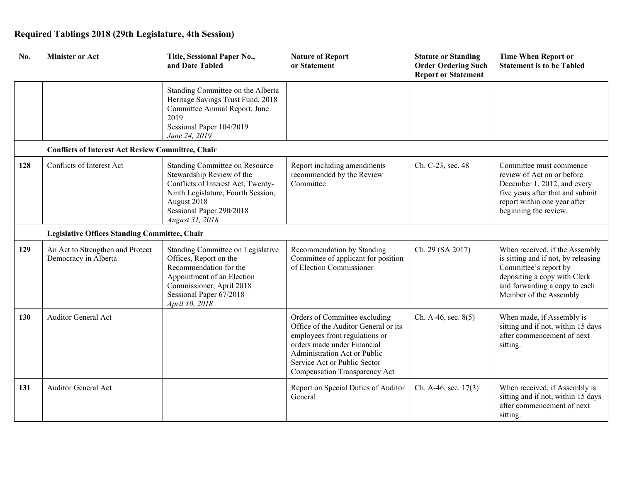| No. | <b>Minister or Act</b>                                   | Title, Sessional Paper No.,<br>and Date Tabled                                                                                                                                                        | <b>Nature of Report</b><br>or Statement                                                                                                                                                                                                | <b>Statute or Standing</b><br><b>Order Ordering Such</b><br><b>Report or Statement</b> | <b>Time When Report or</b><br><b>Statement is to be Tabled</b>                                                                                                                            |
|-----|----------------------------------------------------------|-------------------------------------------------------------------------------------------------------------------------------------------------------------------------------------------------------|----------------------------------------------------------------------------------------------------------------------------------------------------------------------------------------------------------------------------------------|----------------------------------------------------------------------------------------|-------------------------------------------------------------------------------------------------------------------------------------------------------------------------------------------|
|     |                                                          | Standing Committee on the Alberta<br>Heritage Savings Trust Fund, 2018<br>Committee Annual Report, June<br>2019<br>Sessional Paper 104/2019<br>June 24, 2019                                          |                                                                                                                                                                                                                                        |                                                                                        |                                                                                                                                                                                           |
|     | <b>Conflicts of Interest Act Review Committee, Chair</b> |                                                                                                                                                                                                       |                                                                                                                                                                                                                                        |                                                                                        |                                                                                                                                                                                           |
| 128 | Conflicts of Interest Act                                | Standing Committee on Resource<br>Stewardship Review of the<br>Conflicts of Interest Act, Twenty-<br>Ninth Legislature, Fourth Session,<br>August 2018<br>Sessional Paper 290/2018<br>August 31, 2018 | Report including amendments<br>recommended by the Review<br>Committee                                                                                                                                                                  | Ch. C-23, sec. 48                                                                      | Committee must commence<br>review of Act on or before<br>December 1, 2012, and every<br>five years after that and submit<br>report within one year after<br>beginning the review.         |
|     | <b>Legislative Offices Standing Committee, Chair</b>     |                                                                                                                                                                                                       |                                                                                                                                                                                                                                        |                                                                                        |                                                                                                                                                                                           |
| 129 | An Act to Strengthen and Protect<br>Democracy in Alberta | Standing Committee on Legislative<br>Offices, Report on the<br>Recommendation for the<br>Appointment of an Election<br>Commissioner, April 2018<br>Sessional Paper 67/2018<br>April 10, 2018          | Recommendation by Standing<br>Committee of applicant for position<br>of Election Commissioner                                                                                                                                          | Ch. 29 (SA 2017)                                                                       | When received, if the Assembly<br>is sitting and if not, by releasing<br>Committee's report by<br>depositing a copy with Clerk<br>and forwarding a copy to each<br>Member of the Assembly |
| 130 | <b>Auditor General Act</b>                               |                                                                                                                                                                                                       | Orders of Committee excluding<br>Office of the Auditor General or its<br>employees from regulations or<br>orders made under Financial<br>Administration Act or Public<br>Service Act or Public Sector<br>Compensation Transparency Act | Ch. A-46, sec. $8(5)$                                                                  | When made, if Assembly is<br>sitting and if not, within 15 days<br>after commencement of next<br>sitting.                                                                                 |
| 131 | <b>Auditor General Act</b>                               |                                                                                                                                                                                                       | Report on Special Duties of Auditor<br>General                                                                                                                                                                                         | Ch. A-46, sec. 17(3)                                                                   | When received, if Assembly is<br>sitting and if not, within 15 days<br>after commencement of next<br>sitting.                                                                             |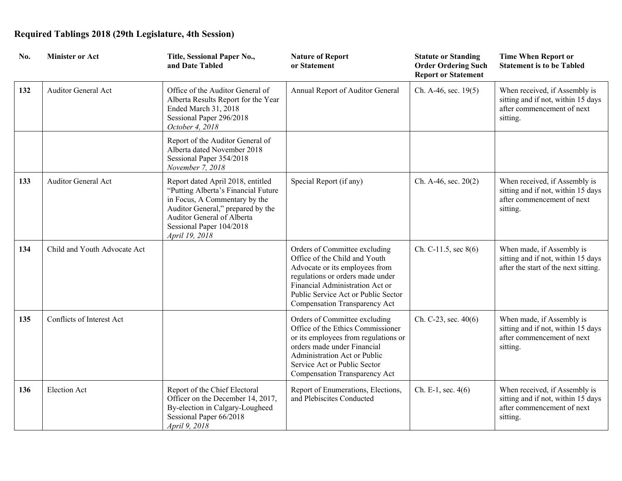| No. | <b>Minister or Act</b>       | Title, Sessional Paper No.,<br>and Date Tabled                                                                                                                                                                             | <b>Nature of Report</b><br>or Statement                                                                                                                                                                                                         | <b>Statute or Standing</b><br><b>Order Ordering Such</b><br><b>Report or Statement</b> | <b>Time When Report or</b><br><b>Statement is to be Tabled</b>                                                |
|-----|------------------------------|----------------------------------------------------------------------------------------------------------------------------------------------------------------------------------------------------------------------------|-------------------------------------------------------------------------------------------------------------------------------------------------------------------------------------------------------------------------------------------------|----------------------------------------------------------------------------------------|---------------------------------------------------------------------------------------------------------------|
| 132 | <b>Auditor General Act</b>   | Office of the Auditor General of<br>Alberta Results Report for the Year<br>Ended March 31, 2018<br>Sessional Paper 296/2018<br>October 4, 2018                                                                             | Annual Report of Auditor General                                                                                                                                                                                                                | Ch. A-46, sec. 19(5)                                                                   | When received, if Assembly is<br>sitting and if not, within 15 days<br>after commencement of next<br>sitting. |
|     |                              | Report of the Auditor General of<br>Alberta dated November 2018<br>Sessional Paper 354/2018<br>November 7, 2018                                                                                                            |                                                                                                                                                                                                                                                 |                                                                                        |                                                                                                               |
| 133 | <b>Auditor General Act</b>   | Report dated April 2018, entitled<br>"Putting Alberta's Financial Future<br>in Focus, A Commentary by the<br>Auditor General," prepared by the<br>Auditor General of Alberta<br>Sessional Paper 104/2018<br>April 19, 2018 | Special Report (if any)                                                                                                                                                                                                                         | Ch. A-46, sec. $20(2)$                                                                 | When received, if Assembly is<br>sitting and if not, within 15 days<br>after commencement of next<br>sitting. |
| 134 | Child and Youth Advocate Act |                                                                                                                                                                                                                            | Orders of Committee excluding<br>Office of the Child and Youth<br>Advocate or its employees from<br>regulations or orders made under<br>Financial Administration Act or<br>Public Service Act or Public Sector<br>Compensation Transparency Act | Ch. C-11.5, sec $8(6)$                                                                 | When made, if Assembly is<br>sitting and if not, within 15 days<br>after the start of the next sitting.       |
| 135 | Conflicts of Interest Act    |                                                                                                                                                                                                                            | Orders of Committee excluding<br>Office of the Ethics Commissioner<br>or its employees from regulations or<br>orders made under Financial<br>Administration Act or Public<br>Service Act or Public Sector<br>Compensation Transparency Act      | Ch. C-23, sec. $40(6)$                                                                 | When made, if Assembly is<br>sitting and if not, within 15 days<br>after commencement of next<br>sitting.     |
| 136 | <b>Election Act</b>          | Report of the Chief Electoral<br>Officer on the December 14, 2017,<br>By-election in Calgary-Lougheed<br>Sessional Paper 66/2018<br>April 9, 2018                                                                          | Report of Enumerations, Elections,<br>and Plebiscites Conducted                                                                                                                                                                                 | Ch. E-1, sec. $4(6)$                                                                   | When received, if Assembly is<br>sitting and if not, within 15 days<br>after commencement of next<br>sitting. |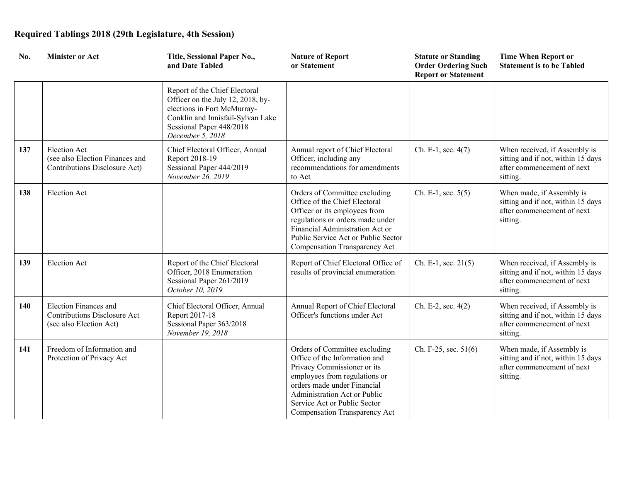| No. | <b>Minister or Act</b>                                                                         | Title, Sessional Paper No.,<br>and Date Tabled                                                                                                                                         | <b>Nature of Report</b><br>or Statement                                                                                                                                                                                                                        | <b>Statute or Standing</b><br><b>Order Ordering Such</b><br><b>Report or Statement</b> | <b>Time When Report or</b><br><b>Statement is to be Tabled</b>                                                |
|-----|------------------------------------------------------------------------------------------------|----------------------------------------------------------------------------------------------------------------------------------------------------------------------------------------|----------------------------------------------------------------------------------------------------------------------------------------------------------------------------------------------------------------------------------------------------------------|----------------------------------------------------------------------------------------|---------------------------------------------------------------------------------------------------------------|
|     |                                                                                                | Report of the Chief Electoral<br>Officer on the July 12, 2018, by-<br>elections in Fort McMurray-<br>Conklin and Innisfail-Sylvan Lake<br>Sessional Paper 448/2018<br>December 5, 2018 |                                                                                                                                                                                                                                                                |                                                                                        |                                                                                                               |
| 137 | <b>Election Act</b><br>(see also Election Finances and<br>Contributions Disclosure Act)        | Chief Electoral Officer, Annual<br>Report 2018-19<br>Sessional Paper 444/2019<br>November 26, 2019                                                                                     | Annual report of Chief Electoral<br>Officer, including any<br>recommendations for amendments<br>to Act                                                                                                                                                         | Ch. E-1, sec. 4(7)                                                                     | When received, if Assembly is<br>sitting and if not, within 15 days<br>after commencement of next<br>sitting. |
| 138 | <b>Election Act</b>                                                                            |                                                                                                                                                                                        | Orders of Committee excluding<br>Office of the Chief Electoral<br>Officer or its employees from<br>regulations or orders made under<br>Financial Administration Act or<br>Public Service Act or Public Sector<br>Compensation Transparency Act                 | Ch. E-1, sec. $5(5)$                                                                   | When made, if Assembly is<br>sitting and if not, within 15 days<br>after commencement of next<br>sitting.     |
| 139 | <b>Election Act</b>                                                                            | Report of the Chief Electoral<br>Officer, 2018 Enumeration<br>Sessional Paper 261/2019<br>October 10, 2019                                                                             | Report of Chief Electoral Office of<br>results of provincial enumeration                                                                                                                                                                                       | Ch. E-1, sec. 21(5)                                                                    | When received, if Assembly is<br>sitting and if not, within 15 days<br>after commencement of next<br>sitting. |
| 140 | <b>Election Finances and</b><br><b>Contributions Disclosure Act</b><br>(see also Election Act) | Chief Electoral Officer, Annual<br>Report 2017-18<br>Sessional Paper 363/2018<br>November 19, 2018                                                                                     | Annual Report of Chief Electoral<br>Officer's functions under Act                                                                                                                                                                                              | Ch. E-2, sec. 4(2)                                                                     | When received, if Assembly is<br>sitting and if not, within 15 days<br>after commencement of next<br>sitting. |
| 141 | Freedom of Information and<br>Protection of Privacy Act                                        |                                                                                                                                                                                        | Orders of Committee excluding<br>Office of the Information and<br>Privacy Commissioner or its<br>employees from regulations or<br>orders made under Financial<br>Administration Act or Public<br>Service Act or Public Sector<br>Compensation Transparency Act | Ch. F-25, sec. 51(6)                                                                   | When made, if Assembly is<br>sitting and if not, within 15 days<br>after commencement of next<br>sitting.     |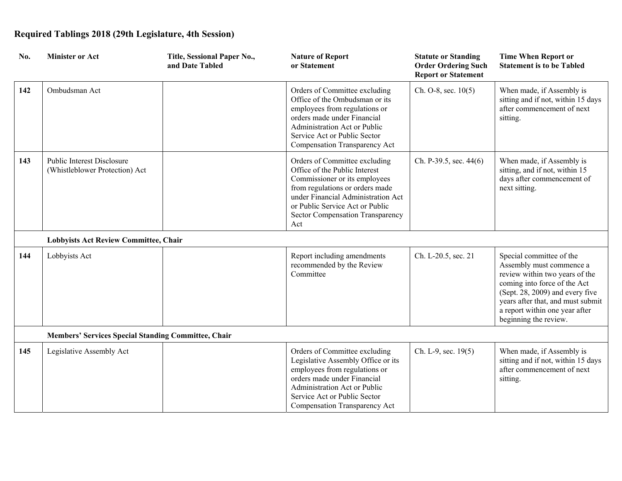| No. | <b>Minister or Act</b>                                       | Title, Sessional Paper No.,<br>and Date Tabled | <b>Nature of Report</b><br>or Statement                                                                                                                                                                                                                | <b>Statute or Standing</b><br><b>Order Ordering Such</b><br><b>Report or Statement</b> | <b>Time When Report or</b><br><b>Statement is to be Tabled</b>                                                                                                                                                                                            |
|-----|--------------------------------------------------------------|------------------------------------------------|--------------------------------------------------------------------------------------------------------------------------------------------------------------------------------------------------------------------------------------------------------|----------------------------------------------------------------------------------------|-----------------------------------------------------------------------------------------------------------------------------------------------------------------------------------------------------------------------------------------------------------|
| 142 | Ombudsman Act                                                |                                                | Orders of Committee excluding<br>Office of the Ombudsman or its<br>employees from regulations or<br>orders made under Financial<br>Administration Act or Public<br>Service Act or Public Sector<br>Compensation Transparency Act                       | Ch. O-8, sec. $10(5)$                                                                  | When made, if Assembly is<br>sitting and if not, within 15 days<br>after commencement of next<br>sitting.                                                                                                                                                 |
| 143 | Public Interest Disclosure<br>(Whistleblower Protection) Act |                                                | Orders of Committee excluding<br>Office of the Public Interest<br>Commissioner or its employees<br>from regulations or orders made<br>under Financial Administration Act<br>or Public Service Act or Public<br>Sector Compensation Transparency<br>Act | Ch. P-39.5, sec. 44(6)                                                                 | When made, if Assembly is<br>sitting, and if not, within 15<br>days after commencement of<br>next sitting.                                                                                                                                                |
|     | <b>Lobbyists Act Review Committee, Chair</b>                 |                                                |                                                                                                                                                                                                                                                        |                                                                                        |                                                                                                                                                                                                                                                           |
| 144 | Lobbyists Act                                                |                                                | Report including amendments<br>recommended by the Review<br>Committee                                                                                                                                                                                  | Ch. L-20.5, sec. 21                                                                    | Special committee of the<br>Assembly must commence a<br>review within two years of the<br>coming into force of the Act<br>(Sept. 28, 2009) and every five<br>years after that, and must submit<br>a report within one year after<br>beginning the review. |
|     | <b>Members' Services Special Standing Committee, Chair</b>   |                                                |                                                                                                                                                                                                                                                        |                                                                                        |                                                                                                                                                                                                                                                           |
| 145 | Legislative Assembly Act                                     |                                                | Orders of Committee excluding<br>Legislative Assembly Office or its<br>employees from regulations or<br>orders made under Financial<br>Administration Act or Public<br>Service Act or Public Sector<br>Compensation Transparency Act                   | Ch. L-9, sec. 19(5)                                                                    | When made, if Assembly is<br>sitting and if not, within 15 days<br>after commencement of next<br>sitting.                                                                                                                                                 |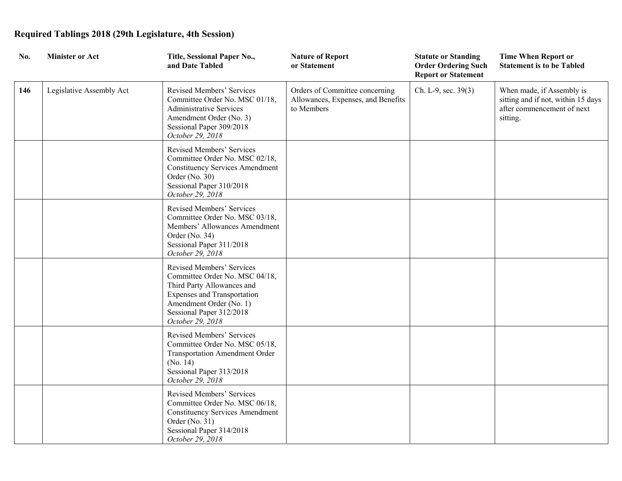| No. | <b>Minister or Act</b>   | Title, Sessional Paper No.,<br>and Date Tabled                                                                                                                                                             | <b>Nature of Report</b><br>or Statement                                            | <b>Statute or Standing</b><br><b>Order Ordering Such</b><br><b>Report or Statement</b> | <b>Time When Report or</b><br><b>Statement is to be Tabled</b>                                            |
|-----|--------------------------|------------------------------------------------------------------------------------------------------------------------------------------------------------------------------------------------------------|------------------------------------------------------------------------------------|----------------------------------------------------------------------------------------|-----------------------------------------------------------------------------------------------------------|
| 146 | Legislative Assembly Act | Revised Members' Services<br>Committee Order No. MSC 01/18,<br><b>Administrative Services</b><br>Amendment Order (No. 3)<br>Sessional Paper 309/2018<br>October 29, 2018                                   | Orders of Committee concerning<br>Allowances, Expenses, and Benefits<br>to Members | Ch. L-9, sec. 39(3)                                                                    | When made, if Assembly is<br>sitting and if not, within 15 days<br>after commencement of next<br>sitting. |
|     |                          | Revised Members' Services<br>Committee Order No. MSC 02/18,<br><b>Constituency Services Amendment</b><br>Order (No. 30)<br>Sessional Paper 310/2018<br>October 29, 2018                                    |                                                                                    |                                                                                        |                                                                                                           |
|     |                          | Revised Members' Services<br>Committee Order No. MSC 03/18,<br>Members' Allowances Amendment<br>Order (No. 34)<br>Sessional Paper 311/2018<br>October 29, 2018                                             |                                                                                    |                                                                                        |                                                                                                           |
|     |                          | Revised Members' Services<br>Committee Order No. MSC 04/18,<br>Third Party Allowances and<br><b>Expenses and Transportation</b><br>Amendment Order (No. 1)<br>Sessional Paper 312/2018<br>October 29, 2018 |                                                                                    |                                                                                        |                                                                                                           |
|     |                          | Revised Members' Services<br>Committee Order No. MSC 05/18,<br><b>Transportation Amendment Order</b><br>(No. 14)<br>Sessional Paper 313/2018<br>October 29, 2018                                           |                                                                                    |                                                                                        |                                                                                                           |
|     |                          | Revised Members' Services<br>Committee Order No. MSC 06/18,<br><b>Constituency Services Amendment</b><br>Order (No. 31)<br>Sessional Paper 314/2018<br>October 29, 2018                                    |                                                                                    |                                                                                        |                                                                                                           |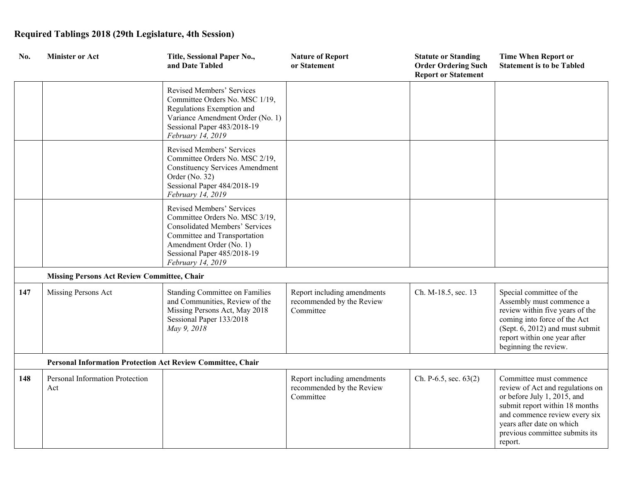| No. | <b>Minister or Act</b>                                      | Title, Sessional Paper No.,<br>and Date Tabled                                                                                                                                                                      | <b>Nature of Report</b><br>or Statement                               | <b>Statute or Standing</b><br><b>Order Ordering Such</b><br><b>Report or Statement</b> | <b>Time When Report or</b><br><b>Statement is to be Tabled</b>                                                                                                                                                                          |
|-----|-------------------------------------------------------------|---------------------------------------------------------------------------------------------------------------------------------------------------------------------------------------------------------------------|-----------------------------------------------------------------------|----------------------------------------------------------------------------------------|-----------------------------------------------------------------------------------------------------------------------------------------------------------------------------------------------------------------------------------------|
|     |                                                             | Revised Members' Services<br>Committee Orders No. MSC 1/19,<br>Regulations Exemption and<br>Variance Amendment Order (No. 1)<br>Sessional Paper 483/2018-19<br>February 14, 2019                                    |                                                                       |                                                                                        |                                                                                                                                                                                                                                         |
|     |                                                             | Revised Members' Services<br>Committee Orders No. MSC 2/19,<br><b>Constituency Services Amendment</b><br>Order (No. 32)<br>Sessional Paper 484/2018-19<br>February 14, 2019                                         |                                                                       |                                                                                        |                                                                                                                                                                                                                                         |
|     |                                                             | Revised Members' Services<br>Committee Orders No. MSC 3/19,<br><b>Consolidated Members' Services</b><br>Committee and Transportation<br>Amendment Order (No. 1)<br>Sessional Paper 485/2018-19<br>February 14, 2019 |                                                                       |                                                                                        |                                                                                                                                                                                                                                         |
|     | <b>Missing Persons Act Review Committee, Chair</b>          |                                                                                                                                                                                                                     |                                                                       |                                                                                        |                                                                                                                                                                                                                                         |
| 147 | Missing Persons Act                                         | <b>Standing Committee on Families</b><br>and Communities, Review of the<br>Missing Persons Act, May 2018<br>Sessional Paper 133/2018<br>May 9, 2018                                                                 | Report including amendments<br>recommended by the Review<br>Committee | Ch. M-18.5, sec. 13                                                                    | Special committee of the<br>Assembly must commence a<br>review within five years of the<br>coming into force of the Act<br>(Sept. 6, 2012) and must submit<br>report within one year after<br>beginning the review.                     |
|     | Personal Information Protection Act Review Committee, Chair |                                                                                                                                                                                                                     |                                                                       |                                                                                        |                                                                                                                                                                                                                                         |
| 148 | Personal Information Protection<br>Act                      |                                                                                                                                                                                                                     | Report including amendments<br>recommended by the Review<br>Committee | Ch. P-6.5, sec. $63(2)$                                                                | Committee must commence<br>review of Act and regulations on<br>or before July 1, 2015, and<br>submit report within 18 months<br>and commence review every six<br>years after date on which<br>previous committee submits its<br>report. |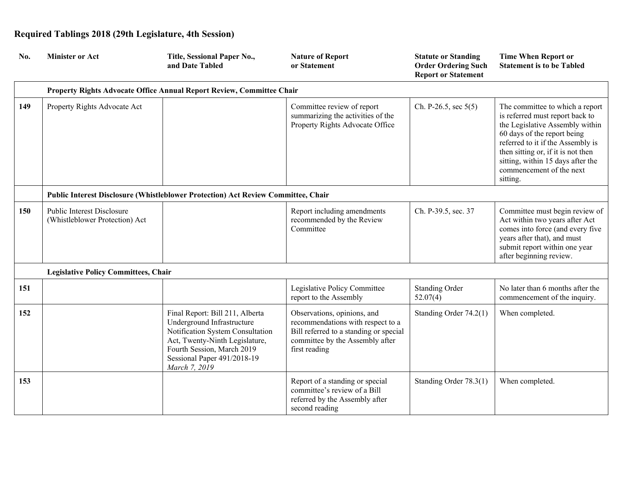| No. | <b>Minister or Act</b>                                       | Title, Sessional Paper No.,<br>and Date Tabled                                                                                                                                                                    | <b>Nature of Report</b><br>or Statement                                                                                                                        | <b>Statute or Standing</b><br><b>Order Ordering Such</b><br><b>Report or Statement</b> | <b>Time When Report or</b><br><b>Statement is to be Tabled</b>                                                                                                                                                                                                                               |
|-----|--------------------------------------------------------------|-------------------------------------------------------------------------------------------------------------------------------------------------------------------------------------------------------------------|----------------------------------------------------------------------------------------------------------------------------------------------------------------|----------------------------------------------------------------------------------------|----------------------------------------------------------------------------------------------------------------------------------------------------------------------------------------------------------------------------------------------------------------------------------------------|
|     |                                                              | Property Rights Advocate Office Annual Report Review, Committee Chair                                                                                                                                             |                                                                                                                                                                |                                                                                        |                                                                                                                                                                                                                                                                                              |
| 149 | Property Rights Advocate Act                                 |                                                                                                                                                                                                                   | Committee review of report<br>summarizing the activities of the<br>Property Rights Advocate Office                                                             | Ch. P-26.5, sec $5(5)$                                                                 | The committee to which a report<br>is referred must report back to<br>the Legislative Assembly within<br>60 days of the report being<br>referred to it if the Assembly is<br>then sitting or, if it is not then<br>sitting, within 15 days after the<br>commencement of the next<br>sitting. |
|     |                                                              | Public Interest Disclosure (Whistleblower Protection) Act Review Committee, Chair                                                                                                                                 |                                                                                                                                                                |                                                                                        |                                                                                                                                                                                                                                                                                              |
| 150 | Public Interest Disclosure<br>(Whistleblower Protection) Act |                                                                                                                                                                                                                   | Report including amendments<br>recommended by the Review<br>Committee                                                                                          | Ch. P-39.5, sec. 37                                                                    | Committee must begin review of<br>Act within two years after Act<br>comes into force (and every five<br>years after that), and must<br>submit report within one year<br>after beginning review.                                                                                              |
|     | <b>Legislative Policy Committees, Chair</b>                  |                                                                                                                                                                                                                   |                                                                                                                                                                |                                                                                        |                                                                                                                                                                                                                                                                                              |
| 151 |                                                              |                                                                                                                                                                                                                   | Legislative Policy Committee<br>report to the Assembly                                                                                                         | <b>Standing Order</b><br>52.07(4)                                                      | No later than 6 months after the<br>commencement of the inquiry.                                                                                                                                                                                                                             |
| 152 |                                                              | Final Report: Bill 211, Alberta<br>Underground Infrastructure<br>Notification System Consultation<br>Act, Twenty-Ninth Legislature,<br>Fourth Session, March 2019<br>Sessional Paper 491/2018-19<br>March 7, 2019 | Observations, opinions, and<br>recommendations with respect to a<br>Bill referred to a standing or special<br>committee by the Assembly after<br>first reading | Standing Order 74.2(1)                                                                 | When completed.                                                                                                                                                                                                                                                                              |
| 153 |                                                              |                                                                                                                                                                                                                   | Report of a standing or special<br>committee's review of a Bill<br>referred by the Assembly after<br>second reading                                            | Standing Order 78.3(1)                                                                 | When completed.                                                                                                                                                                                                                                                                              |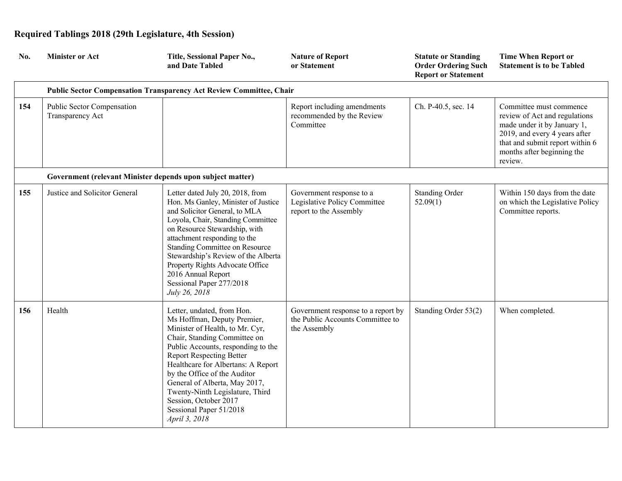| No. | <b>Minister or Act</b>                                     | Title, Sessional Paper No.,<br>and Date Tabled                                                                                                                                                                                                                                                                                                                                                                       | <b>Nature of Report</b><br>or Statement                                                | <b>Statute or Standing</b><br><b>Order Ordering Such</b><br><b>Report or Statement</b> | <b>Time When Report or</b><br><b>Statement is to be Tabled</b>                                                                                                                                       |
|-----|------------------------------------------------------------|----------------------------------------------------------------------------------------------------------------------------------------------------------------------------------------------------------------------------------------------------------------------------------------------------------------------------------------------------------------------------------------------------------------------|----------------------------------------------------------------------------------------|----------------------------------------------------------------------------------------|------------------------------------------------------------------------------------------------------------------------------------------------------------------------------------------------------|
|     |                                                            | <b>Public Sector Compensation Transparency Act Review Committee, Chair</b>                                                                                                                                                                                                                                                                                                                                           |                                                                                        |                                                                                        |                                                                                                                                                                                                      |
| 154 | Public Sector Compensation<br>Transparency Act             |                                                                                                                                                                                                                                                                                                                                                                                                                      | Report including amendments<br>recommended by the Review<br>Committee                  | Ch. P-40.5, sec. 14                                                                    | Committee must commence<br>review of Act and regulations<br>made under it by January 1,<br>2019, and every 4 years after<br>that and submit report within 6<br>months after beginning the<br>review. |
|     | Government (relevant Minister depends upon subject matter) |                                                                                                                                                                                                                                                                                                                                                                                                                      |                                                                                        |                                                                                        |                                                                                                                                                                                                      |
| 155 | Justice and Solicitor General                              | Letter dated July 20, 2018, from<br>Hon. Ms Ganley, Minister of Justice<br>and Solicitor General, to MLA<br>Loyola, Chair, Standing Committee<br>on Resource Stewardship, with<br>attachment responding to the<br><b>Standing Committee on Resource</b><br>Stewardship's Review of the Alberta<br>Property Rights Advocate Office<br>2016 Annual Report<br>Sessional Paper 277/2018<br>July 26, 2018                 | Government response to a<br>Legislative Policy Committee<br>report to the Assembly     | <b>Standing Order</b><br>52.09(1)                                                      | Within 150 days from the date<br>on which the Legislative Policy<br>Committee reports.                                                                                                               |
| 156 | Health                                                     | Letter, undated, from Hon.<br>Ms Hoffman, Deputy Premier,<br>Minister of Health, to Mr. Cyr,<br>Chair, Standing Committee on<br>Public Accounts, responding to the<br><b>Report Respecting Better</b><br>Healthcare for Albertans: A Report<br>by the Office of the Auditor<br>General of Alberta, May 2017,<br>Twenty-Ninth Legislature, Third<br>Session, October 2017<br>Sessional Paper 51/2018<br>April 3, 2018 | Government response to a report by<br>the Public Accounts Committee to<br>the Assembly | Standing Order 53(2)                                                                   | When completed.                                                                                                                                                                                      |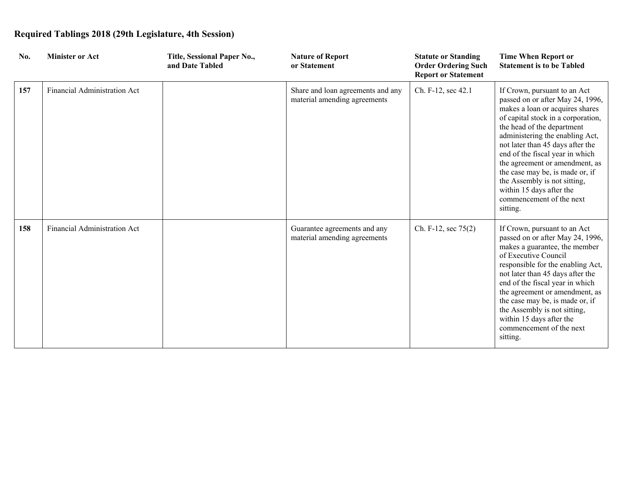| No. | <b>Minister or Act</b>              | Title, Sessional Paper No.,<br>and Date Tabled | <b>Nature of Report</b><br>or Statement                           | <b>Statute or Standing</b><br><b>Order Ordering Such</b><br><b>Report or Statement</b> | <b>Time When Report or</b><br><b>Statement is to be Tabled</b>                                                                                                                                                                                                                                                                                                                                                                                             |
|-----|-------------------------------------|------------------------------------------------|-------------------------------------------------------------------|----------------------------------------------------------------------------------------|------------------------------------------------------------------------------------------------------------------------------------------------------------------------------------------------------------------------------------------------------------------------------------------------------------------------------------------------------------------------------------------------------------------------------------------------------------|
| 157 | Financial Administration Act        |                                                | Share and loan agreements and any<br>material amending agreements | Ch. F-12, sec 42.1                                                                     | If Crown, pursuant to an Act<br>passed on or after May 24, 1996,<br>makes a loan or acquires shares<br>of capital stock in a corporation,<br>the head of the department<br>administering the enabling Act,<br>not later than 45 days after the<br>end of the fiscal year in which<br>the agreement or amendment, as<br>the case may be, is made or, if<br>the Assembly is not sitting,<br>within 15 days after the<br>commencement of the next<br>sitting. |
| 158 | <b>Financial Administration Act</b> |                                                | Guarantee agreements and any<br>material amending agreements      | Ch. F-12, sec 75(2)                                                                    | If Crown, pursuant to an Act<br>passed on or after May 24, 1996,<br>makes a guarantee, the member<br>of Executive Council<br>responsible for the enabling Act,<br>not later than 45 days after the<br>end of the fiscal year in which<br>the agreement or amendment, as<br>the case may be, is made or, if<br>the Assembly is not sitting,<br>within 15 days after the<br>commencement of the next<br>sitting.                                             |